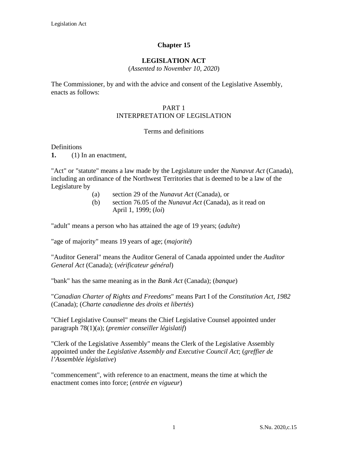# **Chapter 15**

### **LEGISLATION ACT**

(*Assented to November 10, 2020*)

The Commissioner, by and with the advice and consent of the Legislative Assembly, enacts as follows:

#### PART 1 INTERPRETATION OF LEGISLATION

#### Terms and definitions

#### **Definitions**

**[1.](http://web2.gov.mb.ca/laws/statutes/2013/c03913f.php#A1)** (1) In an enactment,

"Act" or "statute" means a law made by the Legislature under the *Nunavut Act* (Canada), including an ordinance of the Northwest Territories that is deemed to be a law of the Legislature by

- (a) section 29 of the *Nunavut Act* (Canada), or
- (b) section 76.05 of the *Nunavut Act* (Canada), as it read on April 1, 1999; (*loi*)

"adult" means a person who has attained the age of 19 years; (*adulte*)

"age of majority" means 19 years of age; (*majorité*)

"Auditor General" means the Auditor General of Canada appointed under the *Auditor General Act* (Canada); (*vérificateur général*)

"bank" has the same meaning as in the *Bank Act* (Canada); (*banque*)

"*Canadian Charter of Rights and Freedoms*" means Part I of the *Constitution Act, 1982* (Canada); (*Charte canadienne des droits et libertés*)

"Chief Legislative Counsel" means the Chief Legislative Counsel appointed under paragraph 78(1)(a); (*premier conseiller législatif*)

"Clerk of the Legislative Assembly" means the Clerk of the Legislative Assembly appointed under the *Legislative Assembly and Executive Council Act*; (*greffier de l'Assemblée législative*)

"commencement", with reference to an enactment, means the time at which the enactment comes into force; (*entrée en vigueur*)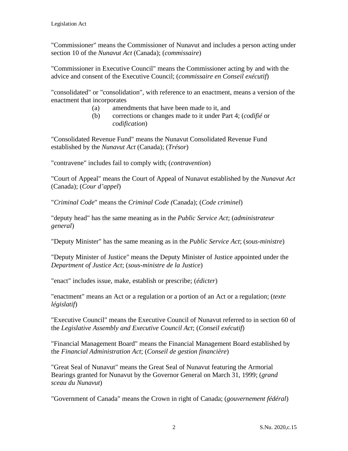"Commissioner" means the Commissioner of Nunavut and includes a person acting under section 10 of the *Nunavut Act* (Canada); (*commissaire*)

"Commissioner in Executive Council" means the Commissioner acting by and with the advice and consent of the Executive Council; (*commissaire en Conseil exécutif*)

"consolidated" or "consolidation", with reference to an enactment, means a version of the enactment that incorporates

- (a) amendments that have been made to it, and
- (b) corrections or changes made to it under Part 4; (*codifié* or *codification*)

"Consolidated Revenue Fund" means the Nunavut Consolidated Revenue Fund established by the *Nunavut Act* (Canada); (*Trésor*)

"contravene" includes fail to comply with; (*contravention*)

"Court of Appeal" means the Court of Appeal of Nunavut established by the *Nunavut Act* (Canada); (*Cour d'appel*)

"*Criminal Code*" means the *Criminal Code (*Canada); (*Code criminel*)

"deputy head" has the same meaning as in the *Public Service Act*; (*administrateur general*)

"Deputy Minister" has the same meaning as in the *Public Service Act*; (*sous-ministre*)

"Deputy Minister of Justice" means the Deputy Minister of Justice appointed under the *Department of Justice Act*; (*sous-ministre de la Justice*)

"enact" includes issue, make, establish or prescribe; (*édicter*)

"enactment" means an Act or a regulation or a portion of an Act or a regulation; (*texte législatif*)

"Executive Council" means the Executive Council of Nunavut referred to in section 60 of the *Legislative Assembly and Executive Council Act*; (*Conseil exécutif*)

"Financial Management Board" means the Financial Management Board established by the *Financial Administration Act*; (*Conseil de gestion financière*)

"Great Seal of Nunavut" means the Great Seal of Nunavut featuring the Armorial Bearings granted for Nunavut by the Governor General on March 31, 1999; (*grand sceau du Nunavut*)

"Government of Canada" means the Crown in right of Canada; (*gouvernement fédéral*)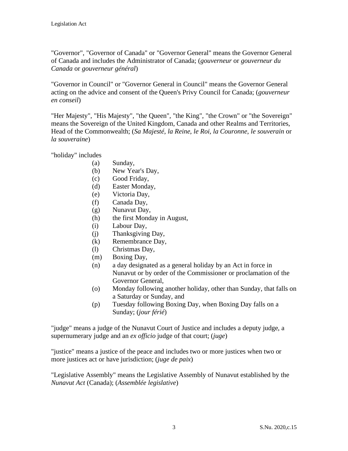"Governor", "Governor of Canada" or "Governor General" means the Governor General of Canada and includes the Administrator of Canada; (*gouverneur* or *gouverneur du Canada* or *gouverneur général*)

"Governor in Council" or "Governor General in Council" means the Governor General acting on the advice and consent of the Queen's Privy Council for Canada; (*gouverneur en conseil*)

"Her Majesty", "His Majesty", "the Queen", "the King", "the Crown" or "the Sovereign" means the Sovereign of the United Kingdom, Canada and other Realms and Territories, Head of the Commonwealth; (*Sa Majesté*, *la Reine*, *le Roi*, *la Couronne*, *le souverain* or *la souveraine*)

"holiday" includes

- (a) Sunday,
- (b) New Year's Day,
- (c) Good Friday,
- (d) Easter Monday,
- (e) Victoria Day,
- (f) Canada Day,
- (g) Nunavut Day,
- (h) the first Monday in August,
- (i) Labour Day,
- (j) Thanksgiving Day,
- (k) Remembrance Day,
- (l) Christmas Day,
- (m) Boxing Day,
- (n) a day designated as a general holiday by an Act in force in Nunavut or by order of the Commissioner or proclamation of the Governor General,
- (o) Monday following another holiday, other than Sunday, that falls on a Saturday or Sunday, and
- (p) Tuesday following Boxing Day, when Boxing Day falls on a Sunday; (*jour férié*)

"judge" means a judge of the Nunavut Court of Justice and includes a deputy judge, a supernumerary judge and an *ex officio* judge of that court; (*juge*)

"justice" means a justice of the peace and includes two or more justices when two or more justices act or have jurisdiction; (*juge de paix*)

"Legislative Assembly" means the Legislative Assembly of Nunavut established by the *Nunavut Act* (Canada); (*Assemblée legislative*)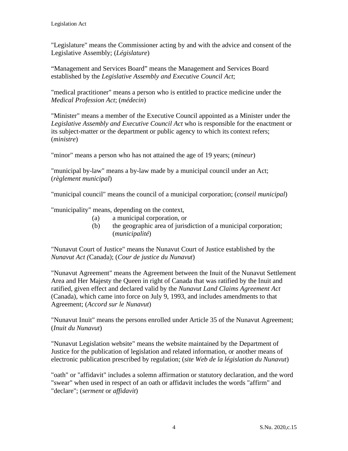"Legislature" means the Commissioner acting by and with the advice and consent of the Legislative Assembly; (*Législature*)

"Management and Services Board" means the Management and Services Board established by the *Legislative Assembly and Executive Council Act*;

"medical practitioner" means a person who is entitled to practice medicine under the *Medical Profession Act*; (*médecin*)

"Minister" means a member of the Executive Council appointed as a Minister under the *Legislative Assembly and Executive Council Act* who is responsible for the enactment or its subject-matter or the department or public agency to which its context refers; (*ministre*)

"minor" means a person who has not attained the age of 19 years; (*mineur*)

"municipal by-law" means a by-law made by a municipal council under an Act; (*règlement municipal*)

"municipal council" means the council of a municipal corporation; (*conseil municipal*)

"municipality" means, depending on the context,

- (a) a municipal corporation, or
- (b) the geographic area of jurisdiction of a municipal corporation; (*municipalité*)

"Nunavut Court of Justice" means the Nunavut Court of Justice established by the *Nunavut Act (*Canada); (*Cour de justice du Nunavut*)

"Nunavut Agreement" means the Agreement between the Inuit of the Nunavut Settlement Area and Her Majesty the Queen in right of Canada that was ratified by the Inuit and ratified, given effect and declared valid by the *Nunavut Land Claims Agreement Act* (Canada), which came into force on July 9, 1993, and includes amendments to that Agreement; (*Accord sur le Nunavut*)

"Nunavut Inuit" means the persons enrolled under Article 35 of the Nunavut Agreement; (*Inuit du Nunavut*)

"Nunavut Legislation website" means the website maintained by the Department of Justice for the publication of legislation and related information, or another means of electronic publication prescribed by regulation; (*site Web de la législation du Nunavut*)

"oath" or "affidavit" includes a solemn affirmation or statutory declaration, and the word "swear" when used in respect of an oath or affidavit includes the words "affirm" and "declare"; (*serment* or *affidavit*)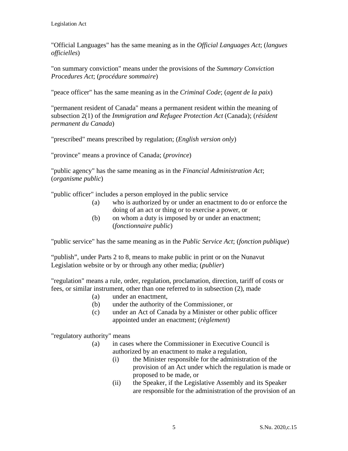"Official Languages" has the same meaning as in the *Official Languages Act*; (*langues officielles*)

"on summary conviction" means under the provisions of the *Summary Conviction Procedures Act*; (*procédure sommaire*)

"peace officer" has the same meaning as in the *Criminal Code*; (*agent de la paix*)

"permanent resident of Canada" means a permanent resident within the meaning of subsection 2(1) of the *Immigration and Refugee Protection Act* (Canada); (*résident permanent du Canada*)

"prescribed" means prescribed by regulation; (*English version only*)

"province" means a province of Canada; (*province*)

"public agency" has the same meaning as in the *Financial Administration Act*; (*organisme public*)

"public officer" includes a person employed in the public service

- (a) who is authorized by or under an enactment to do or enforce the doing of an act or thing or to exercise a power, or
- (b) on whom a duty is imposed by or under an enactment; (*fonctionnaire public*)

"public service" has the same meaning as in the *Public Service Act*; (*fonction publique*)

"publish", under Parts 2 to 8, means to make public in print or on the Nunavut Legislation website or by or through any other media; (*publier*)

"regulation" means a rule, order, regulation, proclamation, direction, tariff of costs or fees, or similar instrument, other than one referred to in subsection (2), made

- (a) under an enactment,
- (b) under the authority of the Commissioner, or
- (c) under an Act of Canada by a Minister or other public officer appointed under an enactment; (*règlement*)

"regulatory authority" means

- (a) in cases where the Commissioner in Executive Council is authorized by an enactment to make a regulation,
	- (i) the Minister responsible for the administration of the provision of an Act under which the regulation is made or proposed to be made, or
	- (ii) the Speaker, if the Legislative Assembly and its Speaker are responsible for the administration of the provision of an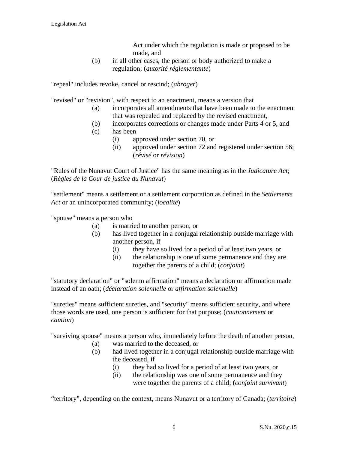Act under which the regulation is made or proposed to be made, and

(b) in all other cases, the person or body authorized to make a regulation; (*autorité réglementante*)

"repeal" includes revoke, cancel or rescind; (*abroger*)

"revised" or "revision", with respect to an enactment, means a version that

- (a) incorporates all amendments that have been made to the enactment that was repealed and replaced by the revised enactment,
- (b) incorporates corrections or changes made under Parts 4 or 5, and
- (c) has been
	- (i) approved under section 70, or
	- (ii) approved under section 72 and registered under section 56; (*révisé* or *révision*)

"Rules of the Nunavut Court of Justice" has the same meaning as in the *Judicature Act*; (*Règles de la Cour de justice du Nunavut*)

"settlement" means a settlement or a settlement corporation as defined in the *Settlements Act* or an unincorporated community; (*localité*)

"spouse" means a person who

- (a) is married to another person, or
- (b) has lived together in a conjugal relationship outside marriage with another person, if
	- (i) they have so lived for a period of at least two years, or
	- (ii) the relationship is one of some permanence and they are together the parents of a child; (*conjoint*)

"statutory declaration" or "solemn affirmation" means a declaration or affirmation made instead of an oath; (*déclaration solennelle* or *affirmation solennelle*)

"sureties" means sufficient sureties, and "security" means sufficient security, and where those words are used, one person is sufficient for that purpose; (*cautionnement* or *caution*)

"surviving spouse" means a person who, immediately before the death of another person,

- (a) was married to the deceased, or
	- (b) had lived together in a conjugal relationship outside marriage with the deceased, if
		- (i) they had so lived for a period of at least two years, or
		- (ii) the relationship was one of some permanence and they were together the parents of a child; (*conjoint survivant*)

"territory", depending on the context, means Nunavut or a territory of Canada; (*territoire*)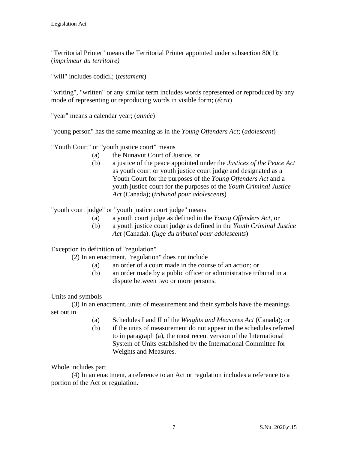"Territorial Printer" means the Territorial Printer appointed under subsection 80(1); (*imprimeur du territoire)* 

"will" includes codicil; (*testament*)

"writing", "written" or any similar term includes words represented or reproduced by any mode of representing or reproducing words in visible form; (*écrit*)

"year" means a calendar year; (*année*)

"young person" has the same meaning as in the *Young Offenders Act*; (*adolescent*)

"Youth Court" or "youth justice court" means

- (a) the Nunavut Court of Justice, or
- (b) a justice of the peace appointed under the *Justices of the Peace Act* as youth court or youth justice court judge and designated as a Youth Court for the purposes of the *Young Offenders Act* and a youth justice court for the purposes of the *Youth Criminal Justice Act* (Canada); (*tribunal pour adolescents*)

"youth court judge" or "youth justice court judge" means

- (a) a youth court judge as defined in the *Young Offenders Act*, or
- (b) a youth justice court judge as defined in the *Youth Criminal Justice Act* (Canada). (*juge du tribunal pour adolescents*)

Exception to definition of "regulation"

(2) In an enactment, "regulation" does not include

- (a) an order of a court made in the course of an action; or
- (b) an order made by a public officer or administrative tribunal in a dispute between two or more persons.

#### Units and symbols

(3) In an enactment, units of measurement and their symbols have the meanings set out in

- (a) Schedules I and II of the *Weights and Measures Act* (Canada); or
- (b) if the units of measurement do not appear in the schedules referred to in paragraph (a), the most recent version of the International System of Units established by the International Committee for Weights and Measures.

Whole includes part

(4) In an enactment, a reference to an Act or regulation includes a reference to a portion of the Act or regulation.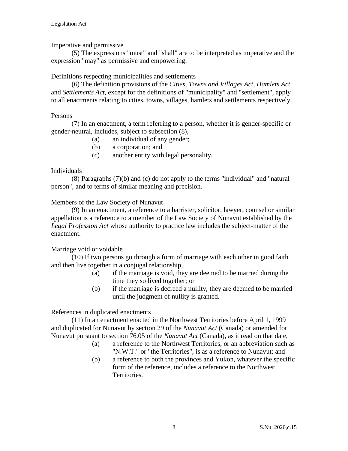### Imperative and permissive

(5) The expressions "must" and "shall" are to be interpreted as imperative and the expression "may" as permissive and empowering.

### Definitions respecting municipalities and settlements

(6) The definition provisions of the *Cities, Towns and Villages Act*, *Hamlets Act*  and *Settlements Act*, except for the definitions of "municipality" and "settlement", apply to all enactments relating to cities, towns, villages, hamlets and settlements respectively.

#### Persons

(7) In an enactment, a term referring to a person, whether it is gender-specific or gender-neutral, includes, subject to subsection (8),

- (a) an individual of any gender;
- (b) a corporation; and
- (c) another entity with legal personality.

### Individuals

(8) Paragraphs (7)(b) and (c) do not apply to the terms "individual" and "natural person", and to terms of similar meaning and precision.

#### Members of the Law Society of Nunavut

(9) In an enactment, a reference to a barrister, solicitor, lawyer, counsel or similar appellation is a reference to a member of the Law Society of Nunavut established by the *Legal Profession Act* whose authority to practice law includes the subject-matter of the enactment.

# Marriage void or voidable

(10) If two persons go through a form of marriage with each other in good faith and then live together in a conjugal relationship,

- (a) if the marriage is void, they are deemed to be married during the time they so lived together; or
- (b) if the marriage is decreed a nullity, they are deemed to be married until the judgment of nullity is granted.

References in duplicated enactments

(11) In an enactment enacted in the Northwest Territories before April 1, 1999 and duplicated for Nunavut by section 29 of the *Nunavut Act* (Canada) or amended for Nunavut pursuant to section 76.05 of the *Nunavut Act* (Canada), as it read on that date,

- (a) a reference to the Northwest Territories, or an abbreviation such as "N.W.T." or "the Territories", is as a reference to Nunavut; and
- (b) a reference to both the provinces and Yukon, whatever the specific form of the reference, includes a reference to the Northwest Territories.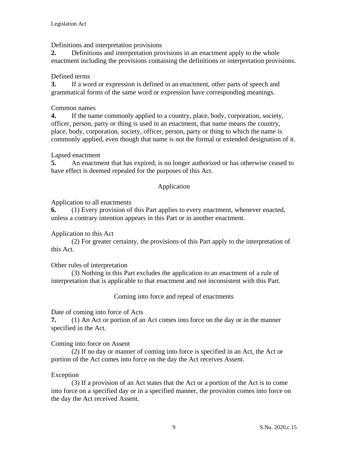Definitions and interpretation provisions

**2.** Definitions and interpretation provisions in an enactment apply to the whole enactment including the provisions containing the definitions or interpretation provisions.

# Defined terms

**3.** If a word or expression is defined in an enactment, other parts of speech and grammatical forms of the same word or expression have corresponding meanings.

# Common names

**4.** If the name commonly applied to a country, place, body, corporation, society, officer, person, party or thing is used in an enactment, that name means the country, place, body, corporation, society, officer, person, party or thing to which the name is commonly applied, even though that name is not the formal or extended designation of it.

# Lapsed enactment

**5.** An enactment that has expired, is no longer authorized or has otherwise ceased to have effect is deemed repealed for the purposes of this Act.

# Application

# Application to all enactments

**6.** (1) Every provision of this Part applies to every enactment, whenever enacted, unless a contrary intention appears in this Part or in another enactment.

# Application to this Act

(2) For greater certainty, the provisions of this Part apply to the interpretation of this Act.

# Other rules of interpretation

(3) Nothing in this Part excludes the application to an enactment of a rule of interpretation that is applicable to that enactment and not inconsistent with this Part.

Coming into force and repeal of enactments

Date of coming into force of Acts

**7.** (1) An Act or portion of an Act comes into force on the day or in the manner specified in the Act.

# Coming into force on Assent

(2) If no day or manner of coming into force is specified in an Act, the Act or portion of the Act comes into force on the day the Act receives Assent.

# Exception

(3) If a provision of an Act states that the Act or a portion of the Act is to come into force on a specified day or in a specified manner, the provision comes into force on the day the Act received Assent.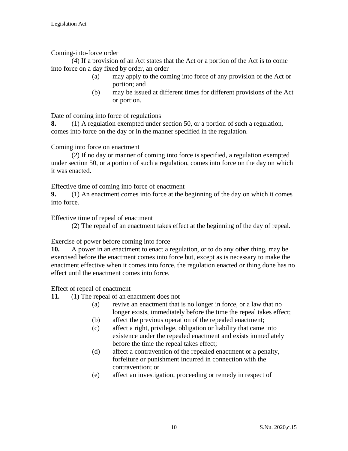Coming-into-force order

(4) If a provision of an Act states that the Act or a portion of the Act is to come into force on a day fixed by order, an order

- (a) may apply to the coming into force of any provision of the Act or portion; and
- (b) may be issued at different times for different provisions of the Act or portion.

Date of coming into force of regulations

**8.** (1) A regulation exempted under section 50, or a portion of such a regulation, comes into force on the day or in the manner specified in the regulation.

### Coming into force on enactment

(2) If no day or manner of coming into force is specified, a regulation exempted under section 50, or a portion of such a regulation, comes into force on the day on which it was enacted.

Effective time of coming into force of enactment

**9.** (1) An enactment comes into force at the beginning of the day on which it comes into force.

Effective time of repeal of enactment

(2) The repeal of an enactment takes effect at the beginning of the day of repeal.

Exercise of power before coming into force

**10.** A power in an enactment to enact a regulation, or to do any other thing, may be exercised before the enactment comes into force but, except as is necessary to make the enactment effective when it comes into force, the regulation enacted or thing done has no effect until the enactment comes into force.

Effect of repeal of enactment

**11.** (1) The repeal of an enactment does not

- (a) revive an enactment that is no longer in force, or a law that no longer exists, immediately before the time the repeal takes effect;
- (b) affect the previous operation of the repealed enactment;
- (c) affect a right, privilege, obligation or liability that came into existence under the repealed enactment and exists immediately before the time the repeal takes effect;
- (d) affect a contravention of the repealed enactment or a penalty, forfeiture or punishment incurred in connection with the contravention; or
- (e) affect an investigation, proceeding or remedy in respect of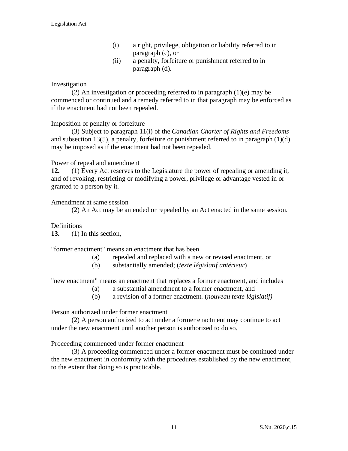- (i) a right, privilege, obligation or liability referred to in paragraph (c), or
- (ii) a penalty, forfeiture or punishment referred to in paragraph (d).

### Investigation

(2) An investigation or proceeding referred to in paragraph (1)(e) may be commenced or continued and a remedy referred to in that paragraph may be enforced as if the enactment had not been repealed.

#### Imposition of penalty or forfeiture

(3) Subject to paragraph 11(i) of the *Canadian Charter of Rights and Freedoms*  and subsection 13(5), a penalty, forfeiture or punishment referred to in paragraph  $(1)(d)$ may be imposed as if the enactment had not been repealed.

#### Power of repeal and amendment

**12.** (1) Every Act reserves to the Legislature the power of repealing or amending it, and of revoking, restricting or modifying a power, privilege or advantage vested in or granted to a person by it.

#### Amendment at same session

(2) An Act may be amended or repealed by an Act enacted in the same session.

#### Definitions

**13.** (1) In this section,

"former enactment" means an enactment that has been

- (a) repealed and replaced with a new or revised enactment, or
- (b) substantially amended; (*texte législatif antérieur*)

"new enactment" means an enactment that replaces a former enactment, and includes

- (a) a substantial amendment to a former enactment, and
- (b) a revision of a former enactment. (*nouveau texte législatif)*

Person authorized under former enactment

(2) A person authorized to act under a former enactment may continue to act under the new enactment until another person is authorized to do so.

Proceeding commenced under former enactment

(3) A proceeding commenced under a former enactment must be continued under the new enactment in conformity with the procedures established by the new enactment, to the extent that doing so is practicable.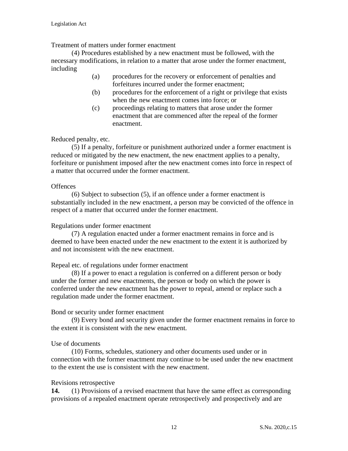Treatment of matters under former enactment

(4) Procedures established by a new enactment must be followed, with the necessary modifications, in relation to a matter that arose under the former enactment, including

- (a) procedures for the recovery or enforcement of penalties and forfeitures incurred under the former enactment;
- (b) procedures for the enforcement of a right or privilege that exists when the new enactment comes into force; or
- (c) proceedings relating to matters that arose under the former enactment that are commenced after the repeal of the former enactment.

#### Reduced penalty, etc.

(5) If a penalty, forfeiture or punishment authorized under a former enactment is reduced or mitigated by the new enactment, the new enactment applies to a penalty, forfeiture or punishment imposed after the new enactment comes into force in respect of a matter that occurred under the former enactment.

#### **Offences**

(6) Subject to subsection (5), if an offence under a former enactment is substantially included in the new enactment, a person may be convicted of the offence in respect of a matter that occurred under the former enactment.

#### Regulations under former enactment

(7) A regulation enacted under a former enactment remains in force and is deemed to have been enacted under the new enactment to the extent it is authorized by and not inconsistent with the new enactment.

#### Repeal etc. of regulations under former enactment

(8) If a power to enact a regulation is conferred on a different person or body under the former and new enactments, the person or body on which the power is conferred under the new enactment has the power to repeal, amend or replace such a regulation made under the former enactment.

#### Bond or security under former enactment

(9) Every bond and security given under the former enactment remains in force to the extent it is consistent with the new enactment.

#### Use of documents

(10) Forms, schedules, stationery and other documents used under or in connection with the former enactment may continue to be used under the new enactment to the extent the use is consistent with the new enactment.

#### Revisions retrospective

**14.** (1) Provisions of a revised enactment that have the same effect as corresponding provisions of a repealed enactment operate retrospectively and prospectively and are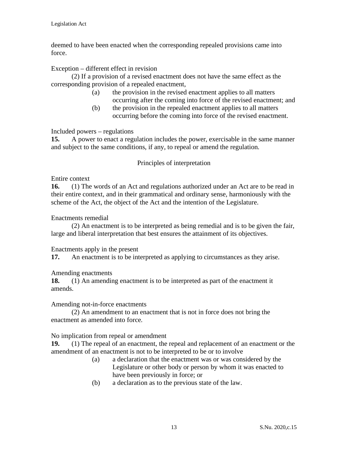deemed to have been enacted when the corresponding repealed provisions came into force.

Exception – different effect in revision

(2) If a provision of a revised enactment does not have the same effect as the corresponding provision of a repealed enactment,

- (a) the provision in the revised enactment applies to all matters occurring after the coming into force of the revised enactment; and
- (b) the provision in the repealed enactment applies to all matters occurring before the coming into force of the revised enactment.

Included powers – regulations

**15.** A power to enact a regulation includes the power, exercisable in the same manner and subject to the same conditions, if any, to repeal or amend the regulation.

### Principles of interpretation

### Entire context

**16.** (1) The words of an Act and regulations authorized under an Act are to be read in their entire context, and in their grammatical and ordinary sense, harmoniously with the scheme of the Act, the object of the Act and the intention of the Legislature.

### Enactments remedial

(2) An enactment is to be interpreted as being remedial and is to be given the fair, large and liberal interpretation that best ensures the attainment of its objectives.

#### Enactments apply in the present

**17.** An enactment is to be interpreted as applying to circumstances as they arise.

# Amending enactments

**18.** (1) An amending enactment is to be interpreted as part of the enactment it amends.

#### Amending not-in-force enactments

(2) An amendment to an enactment that is not in force does not bring the enactment as amended into force.

#### No implication from repeal or amendment

**19.** (1) The repeal of an enactment, the repeal and replacement of an enactment or the amendment of an enactment is not to be interpreted to be or to involve

- (a) a declaration that the enactment was or was considered by the Legislature or other body or person by whom it was enacted to have been previously in force; or
- (b) a declaration as to the previous state of the law.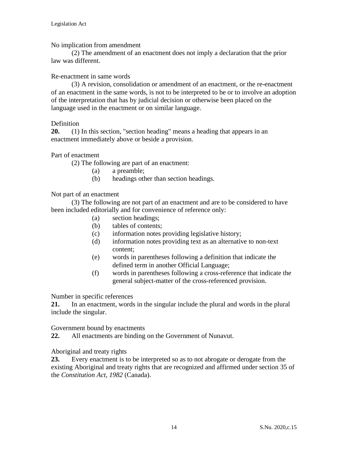#### No implication from amendment

(2) The amendment of an enactment does not imply a declaration that the prior law was different.

#### Re-enactment in same words

(3) A revision, consolidation or amendment of an enactment, or the re-enactment of an enactment in the same words, is not to be interpreted to be or to involve an adoption of the interpretation that has by judicial decision or otherwise been placed on the language used in the enactment or on similar language.

#### Definition

**20.** (1) In this section, "section heading" means a heading that appears in an enactment immediately above or beside a provision.

Part of enactment

(2) The following are part of an enactment:

- (a) a preamble;
- (b) headings other than section headings.

#### Not part of an enactment

(3) The following are not part of an enactment and are to be considered to have been included editorially and for convenience of reference only:

- (a) section headings;
- (b) tables of contents;
- (c) information notes providing legislative history;
- (d) information notes providing text as an alternative to non-text content;
- (e) words in parentheses following a definition that indicate the defined term in another Official Language;
- (f) words in parentheses following a cross-reference that indicate the general subject-matter of the cross-referenced provision.

Number in specific references

**21.** In an enactment, words in the singular include the plural and words in the plural include the singular.

Government bound by enactments

**22.** All enactments are binding on the Government of Nunavut.

Aboriginal and treaty rights

**23.** Every enactment is to be interpreted so as to not abrogate or derogate from the existing Aboriginal and treaty rights that are recognized and affirmed under section 35 of the *Constitution Act, 1982* (Canada).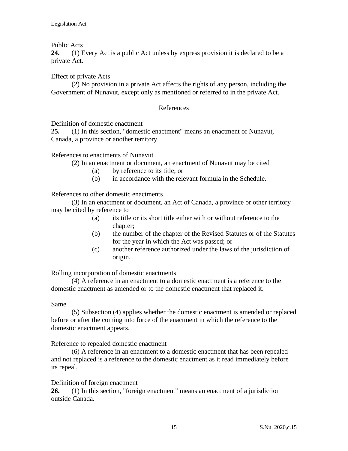### Public Acts

**24.** (1) Every Act is a public Act unless by express provision it is declared to be a private Act.

### Effect of private Acts

(2) No provision in a private Act affects the rights of any person, including the Government of Nunavut, except only as mentioned or referred to in the private Act.

### References

Definition of domestic enactment

**25.** (1) In this section, "domestic enactment" means an enactment of Nunavut, Canada, a province or another territory.

References to enactments of Nunavut

(2) In an enactment or document, an enactment of Nunavut may be cited

- (a) by reference to its title; or
- (b) in accordance with the relevant formula in the Schedule.

References to other domestic enactments

(3) In an enactment or document, an Act of Canada, a province or other territory may be cited by reference to

- (a) its title or its short title either with or without reference to the chapter;
- (b) the number of the chapter of the Revised Statutes or of the Statutes for the year in which the Act was passed; or
- (c) another reference authorized under the laws of the jurisdiction of origin.

Rolling incorporation of domestic enactments

(4) A reference in an enactment to a domestic enactment is a reference to the domestic enactment as amended or to the domestic enactment that replaced it.

#### Same

(5) Subsection (4) applies whether the domestic enactment is amended or replaced before or after the coming into force of the enactment in which the reference to the domestic enactment appears.

Reference to repealed domestic enactment

(6) A reference in an enactment to a domestic enactment that has been repealed and not replaced is a reference to the domestic enactment as it read immediately before its repeal.

# Definition of foreign enactment

**26.** (1) In this section, "foreign enactment" means an enactment of a jurisdiction outside Canada.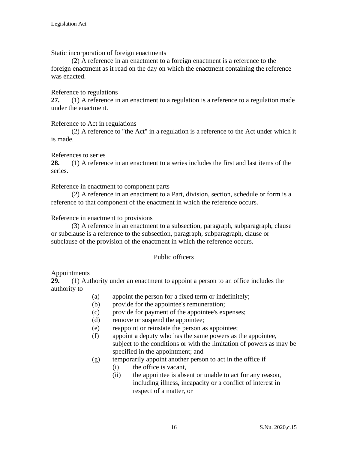Static incorporation of foreign enactments

(2) A reference in an enactment to a foreign enactment is a reference to the foreign enactment as it read on the day on which the enactment containing the reference was enacted.

#### Reference to regulations

**27.** (1) A reference in an enactment to a regulation is a reference to a regulation made under the enactment.

Reference to Act in regulations

(2) A reference to "the Act" in a regulation is a reference to the Act under which it is made.

#### References to series

**28.** (1) A reference in an enactment to a series includes the first and last items of the series.

Reference in enactment to component parts

(2) A reference in an enactment to a Part, division, section, schedule or form is a reference to that component of the enactment in which the reference occurs.

#### Reference in enactment to provisions

(3) A reference in an enactment to a subsection, paragraph, subparagraph, clause or subclause is a reference to the subsection, paragraph, subparagraph, clause or subclause of the provision of the enactment in which the reference occurs.

#### Public officers

#### Appointments

**29.** (1) Authority under an enactment to appoint a person to an office includes the authority to

- (a) appoint the person for a fixed term or indefinitely;
- (b) provide for the appointee's remuneration;
- (c) provide for payment of the appointee's expenses;
- (d) remove or suspend the appointee;
- (e) reappoint or reinstate the person as appointee;
- (f) appoint a deputy who has the same powers as the appointee, subject to the conditions or with the limitation of powers as may be specified in the appointment; and
- (g) temporarily appoint another person to act in the office if
	- (i) the office is vacant,
	- (ii) the appointee is absent or unable to act for any reason, including illness, incapacity or a conflict of interest in respect of a matter, or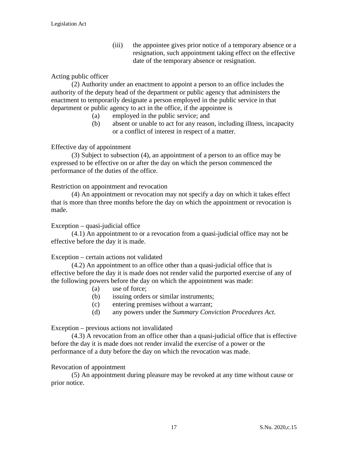(iii) the appointee gives prior notice of a temporary absence or a resignation, such appointment taking effect on the effective date of the temporary absence or resignation.

### Acting public officer

(2) Authority under an enactment to appoint a person to an office includes the authority of the deputy head of the department or public agency that administers the enactment to temporarily designate a person employed in the public service in that department or public agency to act in the office, if the appointee is

- (a) employed in the public service; and
- (b) absent or unable to act for any reason, including illness, incapacity or a conflict of interest in respect of a matter.

### Effective day of appointment

(3) Subject to subsection (4), an appointment of a person to an office may be expressed to be effective on or after the day on which the person commenced the performance of the duties of the office.

Restriction on appointment and revocation

(4) An appointment or revocation may not specify a day on which it takes effect that is more than three months before the day on which the appointment or revocation is made.

Exception – quasi-judicial office

(4.1) An appointment to or a revocation from a quasi-judicial office may not be effective before the day it is made.

#### Exception – certain actions not validated

(4.2) An appointment to an office other than a quasi-judicial office that is effective before the day it is made does not render valid the purported exercise of any of the following powers before the day on which the appointment was made:

- (a) use of force;
- (b) issuing orders or similar instruments;
- (c) entering premises without a warrant;
- (d) any powers under the *Summary Conviction Procedures Act*.

Exception – previous actions not invalidated

(4.3) A revocation from an office other than a quasi-judicial office that is effective before the day it is made does not render invalid the exercise of a power or the performance of a duty before the day on which the revocation was made.

#### Revocation of appointment

(5) An appointment during pleasure may be revoked at any time without cause or prior notice.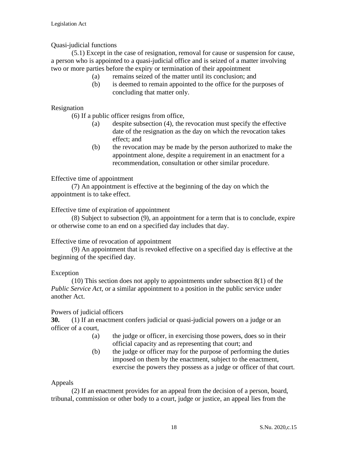# Quasi-judicial functions

(5.1) Except in the case of resignation, removal for cause or suspension for cause, a person who is appointed to a quasi-judicial office and is seized of a matter involving two or more parties before the expiry or termination of their appointment

- (a) remains seized of the matter until its conclusion; and
- (b) is deemed to remain appointed to the office for the purposes of concluding that matter only.

Resignation

(6) If a public officer resigns from office,

- (a) despite subsection (4), the revocation must specify the effective date of the resignation as the day on which the revocation takes effect; and
- (b) the revocation may be made by the person authorized to make the appointment alone, despite a requirement in an enactment for a recommendation, consultation or other similar procedure.

Effective time of appointment

(7) An appointment is effective at the beginning of the day on which the appointment is to take effect.

Effective time of expiration of appointment

(8) Subject to subsection (9), an appointment for a term that is to conclude, expire or otherwise come to an end on a specified day includes that day.

#### Effective time of revocation of appointment

(9) An appointment that is revoked effective on a specified day is effective at the beginning of the specified day.

# Exception

(10) This section does not apply to appointments under subsection 8(1) of the *Public Service Act*, or a similar appointment to a position in the public service under another Act.

#### Powers of judicial officers

**30.** (1) If an enactment confers judicial or quasi-judicial powers on a judge or an officer of a court,

- (a) the judge or officer, in exercising those powers, does so in their official capacity and as representing that court; and
- (b) the judge or officer may for the purpose of performing the duties imposed on them by the enactment, subject to the enactment, exercise the powers they possess as a judge or officer of that court.

#### Appeals

(2) If an enactment provides for an appeal from the decision of a person, board, tribunal, commission or other body to a court, judge or justice, an appeal lies from the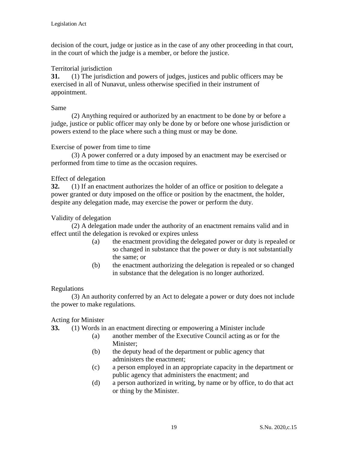decision of the court, judge or justice as in the case of any other proceeding in that court, in the court of which the judge is a member, or before the justice.

# Territorial jurisdiction

**31.** (1) The jurisdiction and powers of judges, justices and public officers may be exercised in all of Nunavut, unless otherwise specified in their instrument of appointment.

#### Same

(2) Anything required or authorized by an enactment to be done by or before a judge, justice or public officer may only be done by or before one whose jurisdiction or powers extend to the place where such a thing must or may be done.

#### Exercise of power from time to time

(3) A power conferred or a duty imposed by an enactment may be exercised or performed from time to time as the occasion requires.

### Effect of delegation

**32.** (1) If an enactment authorizes the holder of an office or position to delegate a power granted or duty imposed on the office or position by the enactment, the holder, despite any delegation made, may exercise the power or perform the duty.

### Validity of delegation

(2) A delegation made under the authority of an enactment remains valid and in effect until the delegation is revoked or expires unless

- (a) the enactment providing the delegated power or duty is repealed or so changed in substance that the power or duty is not substantially the same; or
- (b) the enactment authorizing the delegation is repealed or so changed in substance that the delegation is no longer authorized.

#### Regulations

(3) An authority conferred by an Act to delegate a power or duty does not include the power to make regulations.

# Acting for Minister

**33.** (1) Words in an enactment directing or empowering a Minister include

- (a) another member of the Executive Council acting as or for the Minister;
- (b) the deputy head of the department or public agency that administers the enactment;
- (c) a person employed in an appropriate capacity in the department or public agency that administers the enactment; and
- (d) a person authorized in writing, by name or by office, to do that act or thing by the Minister.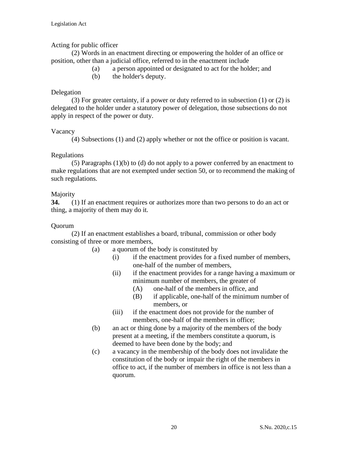### Acting for public officer

(2) Words in an enactment directing or empowering the holder of an office or position, other than a judicial office, referred to in the enactment include

- (a) a person appointed or designated to act for the holder; and
- (b) the holder's deputy.

### Delegation

(3) For greater certainty, if a power or duty referred to in subsection (1) or (2) is delegated to the holder under a statutory power of delegation, those subsections do not apply in respect of the power or duty.

#### Vacancy

(4) Subsections (1) and (2) apply whether or not the office or position is vacant.

### Regulations

(5) Paragraphs (1)(b) to (d) do not apply to a power conferred by an enactment to make regulations that are not exempted under section 50, or to recommend the making of such regulations.

# Majority

**34.** (1) If an enactment requires or authorizes more than two persons to do an act or thing, a majority of them may do it.

#### Quorum

(2) If an enactment establishes a board, tribunal, commission or other body consisting of three or more members,

- (a) a quorum of the body is constituted by
	- (i) if the enactment provides for a fixed number of members, one-half of the number of members,
	- (ii) if the enactment provides for a range having a maximum or minimum number of members, the greater of
		- (A) one-half of the members in office, and
		- (B) if applicable, one-half of the minimum number of members, or
	- (iii) if the enactment does not provide for the number of members, one-half of the members in office;
- (b) an act or thing done by a majority of the members of the body present at a meeting, if the members constitute a quorum, is deemed to have been done by the body; and
- (c) a vacancy in the membership of the body does not invalidate the constitution of the body or impair the right of the members in office to act, if the number of members in office is not less than a quorum.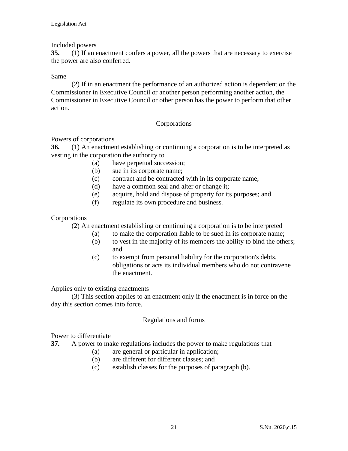### Included powers

**35.** (1) If an enactment confers a power, all the powers that are necessary to exercise the power are also conferred.

#### Same

(2) If in an enactment the performance of an authorized action is dependent on the Commissioner in Executive Council or another person performing another action, the Commissioner in Executive Council or other person has the power to perform that other action.

### Corporations

Powers of corporations

**36.** (1) An enactment establishing or continuing a corporation is to be interpreted as vesting in the corporation the authority to

- (a) have perpetual succession;
- (b) sue in its corporate name;
- (c) contract and be contracted with in its corporate name;
- (d) have a common seal and alter or change it;
- (e) acquire, hold and dispose of property for its purposes; and
- (f) regulate its own procedure and business.

#### Corporations

(2) An enactment establishing or continuing a corporation is to be interpreted

- (a) to make the corporation liable to be sued in its corporate name;
- (b) to vest in the majority of its members the ability to bind the others; and
- (c) to exempt from personal liability for the corporation's debts, obligations or acts its individual members who do not contravene the enactment.

Applies only to existing enactments

(3) This section applies to an enactment only if the enactment is in force on the day this section comes into force.

#### Regulations and forms

Power to differentiate

- **37.** A power to make regulations includes the power to make regulations that
	- (a) are general or particular in application;
	- (b) are different for different classes; and
	- (c) establish classes for the purposes of paragraph (b).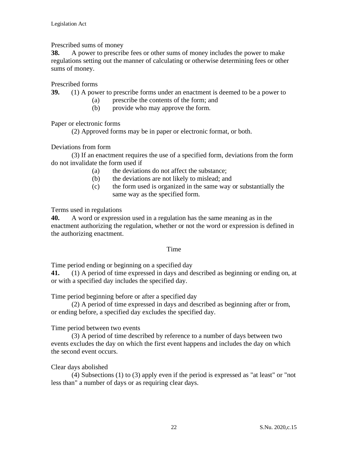Prescribed sums of money

**38.** A power to prescribe fees or other sums of money includes the power to make regulations setting out the manner of calculating or otherwise determining fees or other sums of money.

Prescribed forms

**39.** (1) A power to prescribe forms under an enactment is deemed to be a power to

- (a) prescribe the contents of the form; and
- (b) provide who may approve the form.

Paper or electronic forms

(2) Approved forms may be in paper or electronic format, or both.

Deviations from form

(3) If an enactment requires the use of a specified form, deviations from the form do not invalidate the form used if

- (a) the deviations do not affect the substance;
- (b) the deviations are not likely to mislead; and
- (c) the form used is organized in the same way or substantially the same way as the specified form.

Terms used in regulations

**40.** A word or expression used in a regulation has the same meaning as in the enactment authorizing the regulation, whether or not the word or expression is defined in the authorizing enactment.

# Time

Time period ending or beginning on a specified day

**41.** (1) A period of time expressed in days and described as beginning or ending on, at or with a specified day includes the specified day.

Time period beginning before or after a specified day

(2) A period of time expressed in days and described as beginning after or from, or ending before, a specified day excludes the specified day.

Time period between two events

(3) A period of time described by reference to a number of days between two events excludes the day on which the first event happens and includes the day on which the second event occurs.

Clear days abolished

(4) Subsections (1) to (3) apply even if the period is expressed as "at least" or "not less than" a number of days or as requiring clear days.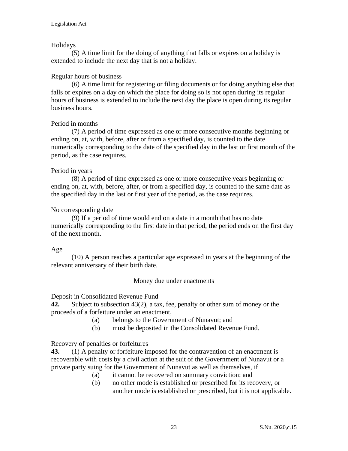### Holidays

(5) A time limit for the doing of anything that falls or expires on a holiday is extended to include the next day that is not a holiday.

### Regular hours of business

(6) A time limit for registering or filing documents or for doing anything else that falls or expires on a day on which the place for doing so is not open during its regular hours of business is extended to include the next day the place is open during its regular business hours.

### Period in months

(7) A period of time expressed as one or more consecutive months beginning or ending on, at, with, before, after or from a specified day, is counted to the date numerically corresponding to the date of the specified day in the last or first month of the period, as the case requires.

### Period in years

(8) A period of time expressed as one or more consecutive years beginning or ending on, at, with, before, after, or from a specified day, is counted to the same date as the specified day in the last or first year of the period, as the case requires.

### No corresponding date

(9) If a period of time would end on a date in a month that has no date numerically corresponding to the first date in that period, the period ends on the first day of the next month.

#### Age

(10) A person reaches a particular age expressed in years at the beginning of the relevant anniversary of their birth date.

#### Money due under enactments

Deposit in Consolidated Revenue Fund

**42.** Subject to subsection 43(2), a tax, fee, penalty or other sum of money or the proceeds of a forfeiture under an enactment,

- (a) belongs to the Government of Nunavut; and
- (b) must be deposited in the Consolidated Revenue Fund.

# Recovery of penalties or forfeitures

**43.** (1) A penalty or forfeiture imposed for the contravention of an enactment is recoverable with costs by a civil action at the suit of the Government of Nunavut or a private party suing for the Government of Nunavut as well as themselves, if

- (a) it cannot be recovered on summary conviction; and
- (b) no other mode is established or prescribed for its recovery, or another mode is established or prescribed, but it is not applicable.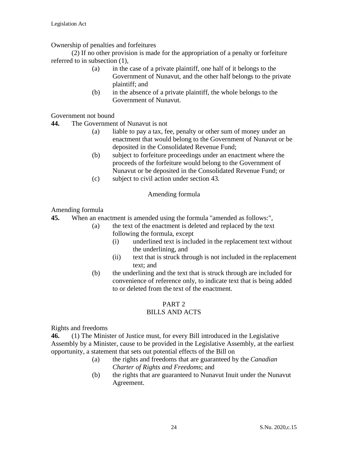Ownership of penalties and forfeitures

(2) If no other provision is made for the appropriation of a penalty or forfeiture referred to in subsection (1),

- (a) in the case of a private plaintiff, one half of it belongs to the Government of Nunavut, and the other half belongs to the private plaintiff; and
- (b) in the absence of a private plaintiff, the whole belongs to the Government of Nunavut.

Government not bound

- **44.** The Government of Nunavut is not
	- (a) liable to pay a tax, fee, penalty or other sum of money under an enactment that would belong to the Government of Nunavut or be deposited in the Consolidated Revenue Fund;
	- (b) subject to forfeiture proceedings under an enactment where the proceeds of the forfeiture would belong to the Government of Nunavut or be deposited in the Consolidated Revenue Fund; or
	- (c) subject to civil action under section 43.

#### Amending formula

Amending formula

**45.** When an enactment is amended using the formula "amended as follows:",

- (a) the text of the enactment is deleted and replaced by the text following the formula, except
	- (i) underlined text is included in the replacement text without the underlining, and
	- (ii) text that is struck through is not included in the replacement text; and
	- (b) the underlining and the text that is struck through are included for convenience of reference only, to indicate text that is being added to or deleted from the text of the enactment.

# PART 2

# BILLS AND ACTS

Rights and freedoms

**46.** (1) The Minister of Justice must, for every Bill introduced in the Legislative Assembly by a Minister, cause to be provided in the Legislative Assembly, at the earliest opportunity, a statement that sets out potential effects of the Bill on

- (a) the rights and freedoms that are guaranteed by the *Canadian Charter of Rights and Freedoms*; and
- (b) the rights that are guaranteed to Nunavut Inuit under the Nunavut Agreement.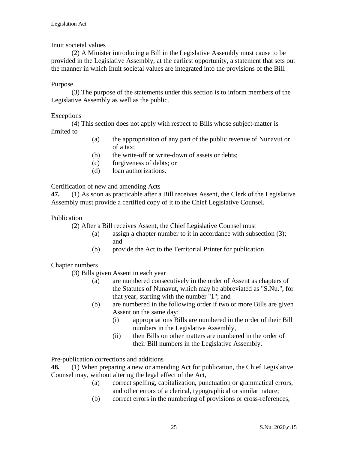### Inuit societal values

(2) A Minister introducing a Bill in the Legislative Assembly must cause to be provided in the Legislative Assembly, at the earliest opportunity, a statement that sets out the manner in which Inuit societal values are integrated into the provisions of the Bill.

#### Purpose

(3) The purpose of the statements under this section is to inform members of the Legislative Assembly as well as the public.

### Exceptions

(4) This section does not apply with respect to Bills whose subject-matter is limited to

- (a) the appropriation of any part of the public revenue of Nunavut or of a tax;
- (b) the write-off or write-down of assets or debts;
- (c) forgiveness of debts; or
- (d) loan authorizations.

Certification of new and amending Acts

**[47.](http://web2.gov.mb.ca/laws/statutes/2013/c03913f.php#A5)** (1) As soon as practicable after a Bill receives Assent, the Clerk of the Legislative Assembly must provide a certified copy of it to the Chief Legislative Counsel.

### Publication

(2) After a Bill receives Assent, the Chief Legislative Counsel must

- (a) assign a chapter number to it in accordance with subsection (3); and
- (b) provide the Act to the Territorial Printer for publication.

# Chapter numbers

(3) Bills given Assent in each year

- (a) are numbered consecutively in the order of Assent as chapters of the Statutes of Nunavut, which may be abbreviated as "S.Nu.", for that year, starting with the number "1"; and
- (b) are numbered in the following order if two or more Bills are given Assent on the same day:
	- (i) appropriations Bills are numbered in the order of their Bill numbers in the Legislative Assembly,
	- (ii) then Bills on other matters are numbered in the order of their Bill numbers in the Legislative Assembly.

Pre-publication corrections and additions

**48.** [\(1\)](http://web2.gov.mb.ca/laws/statutes/2013/c03913f.php#A6) When preparing a new or amending Act for publication, the Chief Legislative Counsel may, without altering the legal effect of the Act,

- (a) correct spelling, capitalization, punctuation or grammatical errors, and other errors of a clerical, typographical or similar nature;
- (b) correct errors in the numbering of provisions or cross-references;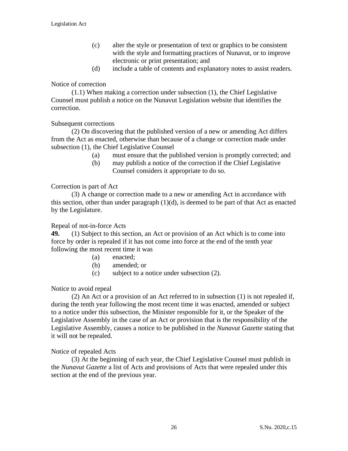- (c) alter the style or presentation of text or graphics to be consistent with the style and formatting practices of Nunavut, or to improve electronic or print presentation; and
- (d) include a table of contents and explanatory notes to assist readers.

#### Notice of correction

(1.1) When making a correction under subsection (1), the Chief Legislative Counsel must publish a notice on the Nunavut Legislation website that identifies the correction.

#### Subsequent corrections

[\(2\)](http://web2.gov.mb.ca/laws/statutes/2013/c03913f.php#A6(2)) On discovering that the published version of a new or amending Act differs from the Act as enacted, otherwise than because of a change or correction made under subsection (1), the Chief Legislative Counsel

- (a) must ensure that the published version is promptly corrected; and
- (b) may publish a notice of the correction if the Chief Legislative Counsel considers it appropriate to do so.

#### Correction is part of Act

[\(3\)](http://web2.gov.mb.ca/laws/statutes/2013/c03913f.php#A6(3)) A change or correction made to a new or amending Act in accordance with this section, other than under paragraph  $(1)(d)$ , is deemed to be part of that Act as enacted by the Legislature.

#### Repeal of not-in-force Acts

**49.** (1) Subject to this section, an Act or provision of an Act which is to come into force by order is repealed if it has not come into force at the end of the tenth year following the most recent time it was

- (a) enacted;
- (b) amended; or
- (c) subject to a notice under subsection (2).

#### Notice to avoid repeal

(2) An Act or a provision of an Act referred to in subsection (1) is not repealed if, during the tenth year following the most recent time it was enacted, amended or subject to a notice under this subsection, the Minister responsible for it, or the Speaker of the Legislative Assembly in the case of an Act or provision that is the responsibility of the Legislative Assembly, causes a notice to be published in the *Nunavut Gazette* stating that it will not be repealed.

#### Notice of repealed Acts

(3) At the beginning of each year, the Chief Legislative Counsel must publish in the *Nunavut Gazette* a list of Acts and provisions of Acts that were repealed under this section at the end of the previous year.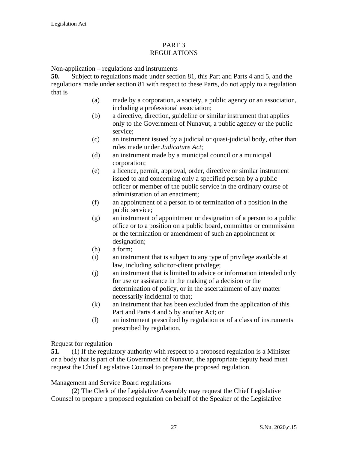#### PART 3 REGULATIONS

Non-application – regulations and instruments

**50.** Subject to regulations made under section 81, this Part and Parts 4 and 5, and the regulations made under section 81 with respect to these Parts, do not apply to a regulation that is

- (a) made by a corporation, a society, a public agency or an association, including a professional association;
- (b) a directive, direction, guideline or similar instrument that applies only to the Government of Nunavut, a public agency or the public service;
- (c) an instrument issued by a judicial or quasi-judicial body, other than rules made under *Judicature Act*;
- (d) an instrument made by a municipal council or a municipal corporation;
- (e) a licence, permit, approval, order, directive or similar instrument issued to and concerning only a specified person by a public officer or member of the public service in the ordinary course of administration of an enactment;
- (f) an appointment of a person to or termination of a position in the public service;
- (g) an instrument of appointment or designation of a person to a public office or to a position on a public board, committee or commission or the termination or amendment of such an appointment or designation;
- (h) a form;
- (i) an instrument that is subject to any type of privilege available at law, including solicitor-client privilege;
- (j) an instrument that is limited to advice or information intended only for use or assistance in the making of a decision or the determination of policy, or in the ascertainment of any matter necessarily incidental to that;
- (k) an instrument that has been excluded from the application of this Part and Parts 4 and 5 by another Act; or
- (l) an instrument prescribed by regulation or of a class of instruments prescribed by regulation.

#### Request for regulation

**51.** (1) If the regulatory authority with respect to a proposed regulation is a Minister or a body that is part of the Government of Nunavut, the appropriate deputy head must request the Chief Legislative Counsel to prepare the proposed regulation.

#### Management and Service Board regulations

(2) The Clerk of the Legislative Assembly may request the Chief Legislative Counsel to prepare a proposed regulation on behalf of the Speaker of the Legislative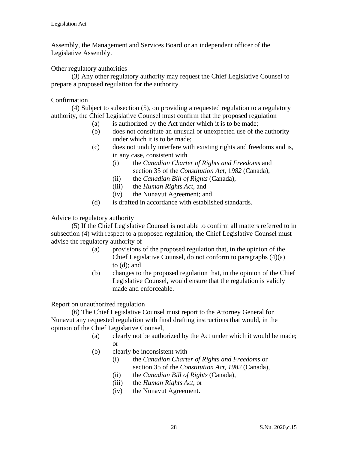Assembly, the Management and Services Board or an independent officer of the Legislative Assembly.

Other regulatory authorities

(3) Any other regulatory authority may request the Chief Legislative Counsel to prepare a proposed regulation for the authority.

### Confirmation

(4) Subject to subsection (5), on providing a requested regulation to a regulatory authority, the Chief Legislative Counsel must confirm that the proposed regulation

- (a) is authorized by the Act under which it is to be made;
- (b) does not constitute an unusual or unexpected use of the authority under which it is to be made;
- (c) does not unduly interfere with existing rights and freedoms and is, in any case, consistent with
	- (i) the *Canadian Charter of Rights and Freedoms* and section 35 of the *Constitution Act*, 1*982* (Canada),
	- (ii) the *Canadian Bill of Rights* (Canada),
	- (iii) the *Human Rights Act*, and
	- (iv) the Nunavut Agreement; and
- (d) is drafted in accordance with established standards.

Advice to regulatory authority

(5) If the Chief Legislative Counsel is not able to confirm all matters referred to in subsection (4) with respect to a proposed regulation, the Chief Legislative Counsel must advise the regulatory authority of

- (a) provisions of the proposed regulation that, in the opinion of the Chief Legislative Counsel, do not conform to paragraphs (4)(a) to (d); and
- (b) changes to the proposed regulation that, in the opinion of the Chief Legislative Counsel, would ensure that the regulation is validly made and enforceable.

Report on unauthorized regulation

(6) The Chief Legislative Counsel must report to the Attorney General for Nunavut any requested regulation with final drafting instructions that would, in the opinion of the Chief Legislative Counsel,

- (a) clearly not be authorized by the Act under which it would be made; or
- (b) clearly be inconsistent with
	- (i) the *Canadian Charter of Rights and Freedoms* or section 35 of the *Constitution Act*, *1982* (Canada),
	- (ii) the *Canadian Bill of Rights* (Canada),
	- (iii) the *Human Rights Act*, or
	- (iv) the Nunavut Agreement.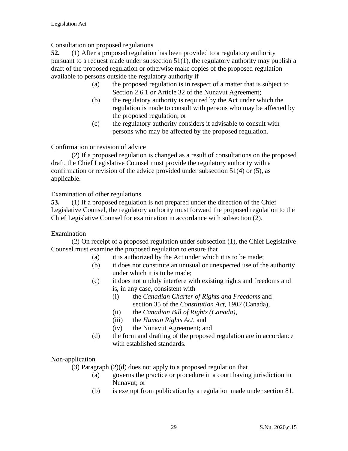Consultation on proposed regulations

**52.** (1) After a proposed regulation has been provided to a regulatory authority pursuant to a request made under subsection 51(1), the regulatory authority may publish a draft of the proposed regulation or otherwise make copies of the proposed regulation available to persons outside the regulatory authority if

- (a) the proposed regulation is in respect of a matter that is subject to Section 2.6.1 or Article 32 of the Nunavut Agreement;
- (b) the regulatory authority is required by the Act under which the regulation is made to consult with persons who may be affected by the proposed regulation; or
- (c) the regulatory authority considers it advisable to consult with persons who may be affected by the proposed regulation.

Confirmation or revision of advice

(2) If a proposed regulation is changed as a result of consultations on the proposed draft, the Chief Legislative Counsel must provide the regulatory authority with a confirmation or revision of the advice provided under subsection 51(4) or (5), as applicable.

Examination of other regulations

**53.** (1) If a proposed regulation is not prepared under the direction of the Chief Legislative Counsel, the regulatory authority must forward the proposed regulation to the Chief Legislative Counsel for examination in accordance with subsection (2).

# Examination

(2) On receipt of a proposed regulation under subsection (1), the Chief Legislative Counsel must examine the proposed regulation to ensure that

- (a) it is authorized by the Act under which it is to be made;
- (b) it does not constitute an unusual or unexpected use of the authority under which it is to be made;
- (c) it does not unduly interfere with existing rights and freedoms and is, in any case, consistent with
	- (i) the *Canadian Charter of Rights and Freedoms* and section 35 of the *Constitution Act*, 1*982* (Canada),
	- (ii) the *Canadian Bill of Rights (Canada)*,
	- (iii) the *Human Rights Act*, and
	- (iv) the Nunavut Agreement; and
- (d) the form and drafting of the proposed regulation are in accordance with established standards.

#### Non-application

(3) Paragraph (2)(d) does not apply to a proposed regulation that

- (a) governs the practice or procedure in a court having jurisdiction in Nunavut; or
- (b) is exempt from publication by a regulation made under section 81.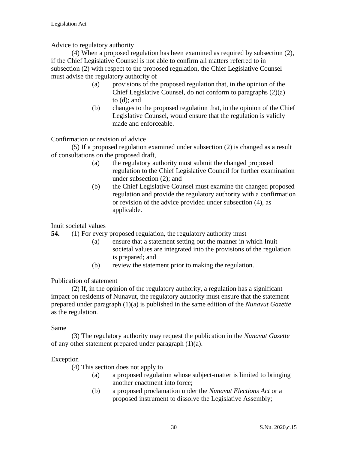### Advice to regulatory authority

(4) When a proposed regulation has been examined as required by subsection (2), if the Chief Legislative Counsel is not able to confirm all matters referred to in subsection (2) with respect to the proposed regulation, the Chief Legislative Counsel must advise the regulatory authority of

- (a) provisions of the proposed regulation that, in the opinion of the Chief Legislative Counsel, do not conform to paragraphs (2)(a) to (d); and
- (b) changes to the proposed regulation that, in the opinion of the Chief Legislative Counsel, would ensure that the regulation is validly made and enforceable.

Confirmation or revision of advice

(5) If a proposed regulation examined under subsection (2) is changed as a result of consultations on the proposed draft,

- (a) the regulatory authority must submit the changed proposed regulation to the Chief Legislative Council for further examination under subsection (2); and
- (b) the Chief Legislative Counsel must examine the changed proposed regulation and provide the regulatory authority with a confirmation or revision of the advice provided under subsection (4), as applicable.

Inuit societal values

**54.** (1) For every proposed regulation, the regulatory authority must

- (a) ensure that a statement setting out the manner in which Inuit societal values are integrated into the provisions of the regulation is prepared; and
- (b) review the statement prior to making the regulation.

Publication of statement

(2) If, in the opinion of the regulatory authority, a regulation has a significant impact on residents of Nunavut, the regulatory authority must ensure that the statement prepared under paragraph (1)(a) is published in the same edition of the *Nunavut Gazette*  as the regulation.

Same

(3) The regulatory authority may request the publication in the *Nunavut Gazette* of any other statement prepared under paragraph (1)(a).

#### Exception

(4) This section does not apply to

- (a) a proposed regulation whose subject-matter is limited to bringing another enactment into force;
- (b) a proposed proclamation under the *Nunavut Elections Act* or a proposed instrument to dissolve the Legislative Assembly;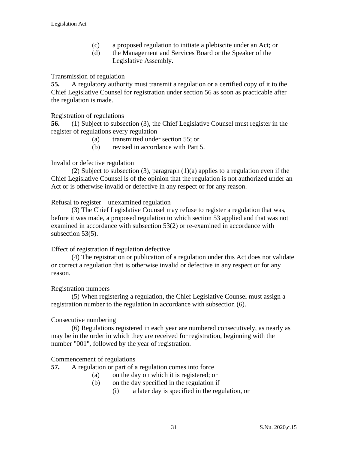- (c) a proposed regulation to initiate a plebiscite under an Act; or
- (d) the Management and Services Board or the Speaker of the Legislative Assembly.

#### Transmission of regulation

**55.** A regulatory authority must transmit a regulation or a certified copy of it to the Chief Legislative Counsel for registration under section 56 as soon as practicable after the regulation is made.

### Registration of regulations

**56.** (1) Subject to subsection (3), the Chief Legislative Counsel must register in the register of regulations every regulation

- (a) transmitted under section 55; or
- (b) revised in accordance with Part 5.

### Invalid or defective regulation

(2) Subject to subsection (3), paragraph (1)(a) applies to a regulation even if the Chief Legislative Counsel is of the opinion that the regulation is not authorized under an Act or is otherwise invalid or defective in any respect or for any reason.

#### Refusal to register – unexamined regulation

(3) The Chief Legislative Counsel may refuse to register a regulation that was, before it was made, a proposed regulation to which section 53 applied and that was not examined in accordance with subsection 53(2) or re-examined in accordance with subsection 53(5).

#### Effect of registration if regulation defective

(4) The registration or publication of a regulation under this Act does not validate or correct a regulation that is otherwise invalid or defective in any respect or for any reason.

#### Registration numbers

(5) When registering a regulation, the Chief Legislative Counsel must assign a registration number to the regulation in accordance with subsection (6).

#### Consecutive numbering

(6) Regulations registered in each year are numbered consecutively, as nearly as may be in the order in which they are received for registration, beginning with the number "001", followed by the year of registration.

#### Commencement of regulations

**57.** A regulation or part of a regulation comes into force

- (a) on the day on which it is registered; or
- (b) on the day specified in the regulation if
	- (i) a later day is specified in the regulation, or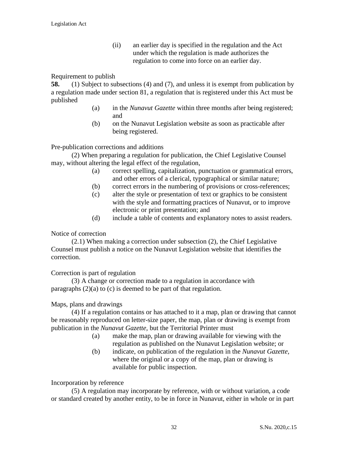(ii) an earlier day is specified in the regulation and the Act under which the regulation is made authorizes the regulation to come into force on an earlier day.

#### Requirement to publish

**58.** (1) Subject to subsections (4) and (7), and unless it is exempt from publication by a regulation made under section 81, a regulation that is registered under this Act must be published

- (a) in the *Nunavut Gazette* within three months after being registered; and
- (b) on the Nunavut Legislation website as soon as practicable after being registered.

Pre-publication corrections and additions

(2) When preparing a regulation for publication, the Chief Legislative Counsel may, without altering the legal effect of the regulation,

- (a) correct spelling, capitalization, punctuation or grammatical errors, and other errors of a clerical, typographical or similar nature;
- (b) correct errors in the numbering of provisions or cross-references;
- (c) alter the style or presentation of text or graphics to be consistent with the style and formatting practices of Nunavut, or to improve electronic or print presentation; and
- (d) include a table of contents and explanatory notes to assist readers.

#### Notice of correction

(2.1) When making a correction under subsection (2), the Chief Legislative Counsel must publish a notice on the Nunavut Legislation website that identifies the correction.

#### Correction is part of regulation

[\(3\)](http://web2.gov.mb.ca/laws/statutes/2013/c03913f.php#A6(3)) A change or correction made to a regulation in accordance with paragraphs (2)(a) to (c) is deemed to be part of that regulation.

#### Maps, plans and drawings

(4) If a regulation contains or has attached to it a map, plan or drawing that cannot be reasonably reproduced on letter-size paper, the map, plan or drawing is exempt from publication in the *Nunavut Gazette,* but the Territorial Printer must

- (a) make the map, plan or drawing available for viewing with the regulation as published on the Nunavut Legislation website; or
- (b) indicate, on publication of the regulation in the *Nunavut Gazette,* where the original or a copy of the map, plan or drawing is available for public inspection.

#### Incorporation by reference

(5) A regulation may incorporate by reference, with or without variation, a code or standard created by another entity, to be in force in Nunavut, either in whole or in part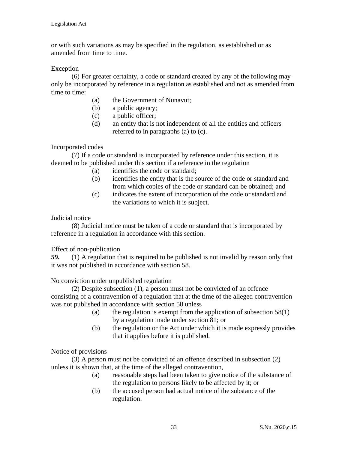or with such variations as may be specified in the regulation, as established or as amended from time to time.

#### Exception

(6) For greater certainty, a code or standard created by any of the following may only be incorporated by reference in a regulation as established and not as amended from time to time:

- (a) the Government of Nunavut;
- (b) a public agency;
- (c) a public officer;
- (d) an entity that is not independent of all the entities and officers referred to in paragraphs (a) to (c).

#### Incorporated codes

(7) If a code or standard is incorporated by reference under this section, it is deemed to be published under this section if a reference in the regulation

- (a) identifies the code or standard;
- (b) identifies the entity that is the source of the code or standard and from which copies of the code or standard can be obtained; and
- (c) indicates the extent of incorporation of the code or standard and the variations to which it is subject.

#### Judicial notice

(8) Judicial notice must be taken of a code or standard that is incorporated by reference in a regulation in accordance with this section.

#### Effect of non-publication

**59.** (1) A regulation that is required to be published is not invalid by reason only that it was not published in accordance with section 58.

No conviction under unpublished regulation

(2) Despite subsection (1), a person must not be convicted of an offence consisting of a contravention of a regulation that at the time of the alleged contravention was not published in accordance with section 58 unless

- (a) the regulation is exempt from the application of subsection  $58(1)$ by a regulation made under section 81; or
- (b) the regulation or the Act under which it is made expressly provides that it applies before it is published*.*

Notice of provisions

(3) A person must not be convicted of an offence described in subsection (2) unless it is shown that, at the time of the alleged contravention,

- (a) reasonable steps had been taken to give notice of the substance of the regulation to persons likely to be affected by it; or
- (b) the accused person had actual notice of the substance of the regulation.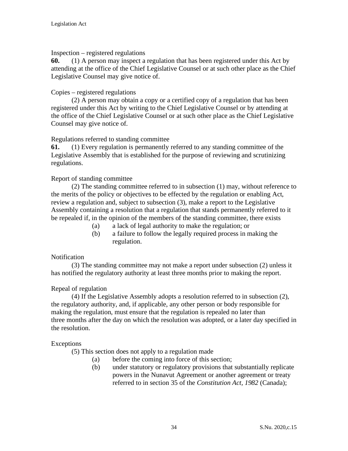### Inspection – registered regulations

**60.** (1) A person may inspect a regulation that has been registered under this Act by attending at the office of the Chief Legislative Counsel or at such other place as the Chief Legislative Counsel may give notice of.

### Copies – registered regulations

(2) A person may obtain a copy or a certified copy of a regulation that has been registered under this Act by writing to the Chief Legislative Counsel or by attending at the office of the Chief Legislative Counsel or at such other place as the Chief Legislative Counsel may give notice of.

#### Regulations referred to standing committee

**61.** (1) Every regulation is permanently referred to any standing committee of the Legislative Assembly that is established for the purpose of reviewing and scrutinizing regulations.

#### Report of standing committee

(2) The standing committee referred to in subsection (1) may, without reference to the merits of the policy or objectives to be effected by the regulation or enabling Act, review a regulation and, subject to subsection (3), make a report to the Legislative Assembly containing a resolution that a regulation that stands permanently referred to it be repealed if, in the opinion of the members of the standing committee, there exists

- (a) a lack of legal authority to make the regulation; or
- (b) a failure to follow the legally required process in making the regulation.

# **Notification**

(3) The standing committee may not make a report under subsection (2) unless it has notified the regulatory authority at least three months prior to making the report.

# Repeal of regulation

(4) If the Legislative Assembly adopts a resolution referred to in subsection (2), the regulatory authority, and, if applicable, any other person or body responsible for making the regulation, must ensure that the regulation is repealed no later than three months after the day on which the resolution was adopted, or a later day specified in the resolution.

#### Exceptions

(5) This section does not apply to a regulation made

- (a) before the coming into force of this section;
- (b) under statutory or regulatory provisions that substantially replicate powers in the Nunavut Agreement or another agreement or treaty referred to in section 35 of the *Constitution Act, 1982* (Canada);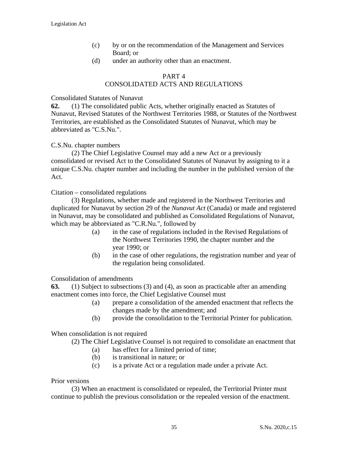- (c) by or on the recommendation of the Management and Services Board; or
- (d) under an authority other than an enactment.

### PART 4

# CONSOLIDATED ACTS AND REGULATIONS

#### Consolidated Statutes of Nunavut

**62.** (1) The consolidated public Acts, whether originally enacted as Statutes of Nunavut, Revised Statutes of the Northwest Territories 1988, or Statutes of the Northwest Territories, are established as the Consolidated Statutes of Nunavut*,* which may be abbreviated as "C.S.Nu.".

#### C.S.Nu. chapter numbers

(2) The Chief Legislative Counsel may add a new Act or a previously consolidated or revised Act to the Consolidated Statutes of Nunavut by assigning to it a unique C.S.Nu. chapter number and including the number in the published version of the Act.

#### Citation – consolidated regulations

(3) Regulations, whether made and registered in the Northwest Territories and duplicated for Nunavut by section 29 of the *Nunavut Act* (Canada) or made and registered in Nunavut, may be consolidated and published as Consolidated Regulations of Nunavut, which may be abbreviated as "C.R.Nu.", followed by

- (a) in the case of regulations included in the Revised Regulations of the Northwest Territories 1990, the chapter number and the year 1990; or
- (b) in the case of other regulations, the registration number and year of the regulation being consolidated.

#### Consolidation of amendments

**63.** (1) Subject to subsections (3) and (4), as soon as practicable after an amending enactment comes into force, the Chief Legislative Counsel must

- (a) prepare a consolidation of the amended enactment that reflects the changes made by the amendment; and
- (b) provide the consolidation to the Territorial Printer for publication.

When consolidation is not required

(2) The Chief Legislative Counsel is not required to consolidate an enactment that

- (a) has effect for a limited period of time;
- (b) is transitional in nature; or
- (c) is a private Act or a regulation made under a private Act.

#### Prior versions

(3) When an enactment is consolidated or repealed, the Territorial Printer must continue to publish the previous consolidation or the repealed version of the enactment.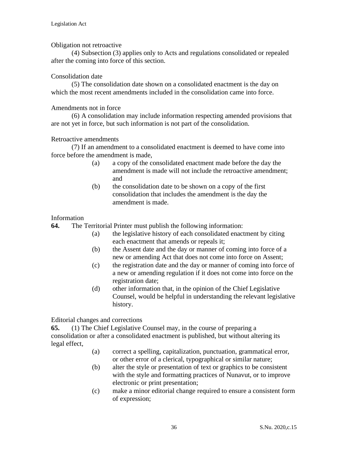### Obligation not retroactive

(4) Subsection (3) applies only to Acts and regulations consolidated or repealed after the coming into force of this section.

### Consolidation date

(5) The consolidation date shown on a consolidated enactment is the day on which the most recent amendments included in the consolidation came into force.

#### Amendments not in force

(6) A consolidation may include information respecting amended provisions that are not yet in force, but such information is not part of the consolidation.

#### Retroactive amendments

(7) If an amendment to a consolidated enactment is deemed to have come into force before the amendment is made,

- (a) a copy of the consolidated enactment made before the day the amendment is made will not include the retroactive amendment; and
- (b) the consolidation date to be shown on a copy of the first consolidation that includes the amendment is the day the amendment is made.

#### Information

**64.** The Territorial Printer must publish the following information:

- (a) the legislative history of each consolidated enactment by citing each enactment that amends or repeals it;
- (b) the Assent date and the day or manner of coming into force of a new or amending Act that does not come into force on Assent;
- (c) the registration date and the day or manner of coming into force of a new or amending regulation if it does not come into force on the registration date;
- (d) other information that, in the opinion of the Chief Legislative Counsel, would be helpful in understanding the relevant legislative history.

Editorial changes and corrections

**65.** [\(1\)](http://web2.gov.mb.ca/laws/statutes/2013/c03913f.php#A25(2)) The Chief Legislative Counsel may, in the course of preparing a consolidation or after a consolidated enactment is published, but without altering its legal effect,

- (a) correct a spelling, capitalization, punctuation, grammatical error, or other error of a clerical, typographical or similar nature;
- (b) alter the style or presentation of text or graphics to be consistent with the style and formatting practices of Nunavut, or to improve electronic or print presentation;
- (c) make a minor editorial change required to ensure a consistent form of expression;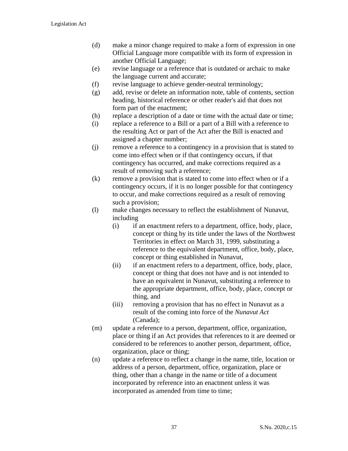- (d) make a minor change required to make a form of expression in one Official Language more compatible with its form of expression in another Official Language;
- (e) revise language or a reference that is outdated or archaic to make the language current and accurate;
- (f) revise language to achieve gender-neutral terminology;
- (g) add, revise or delete an information note, table of contents, section heading, historical reference or other reader's aid that does not form part of the enactment;
- (h) replace a description of a date or time with the actual date or time;
- (i) replace a reference to a Bill or a part of a Bill with a reference to the resulting Act or part of the Act after the Bill is enacted and assigned a chapter number;
- (j) remove a reference to a contingency in a provision that is stated to come into effect when or if that contingency occurs, if that contingency has occurred, and make corrections required as a result of removing such a reference;
- (k) remove a provision that is stated to come into effect when or if a contingency occurs, if it is no longer possible for that contingency to occur, and make corrections required as a result of removing such a provision;
- (l) make changes necessary to reflect the establishment of Nunavut, including
	- (i) if an enactment refers to a department, office, body, place, concept or thing by its title under the laws of the Northwest Territories in effect on March 31, 1999, substituting a reference to the equivalent department, office, body, place, concept or thing established in Nunavut,
	- (ii) if an enactment refers to a department, office, body, place, concept or thing that does not have and is not intended to have an equivalent in Nunavut, substituting a reference to the appropriate department, office, body, place, concept or thing, and
	- (iii) removing a provision that has no effect in Nunavut as a result of the coming into force of the *Nunavut Act* (Canada);
- (m) update a reference to a person, department, office, organization, place or thing if an Act provides that references to it are deemed or considered to be references to another person, department, office, organization, place or thing;
- (n) update a reference to reflect a change in the name, title, location or address of a person, department, office, organization, place or thing, other than a change in the name or title of a document incorporated by reference into an enactment unless it was incorporated as amended from time to time;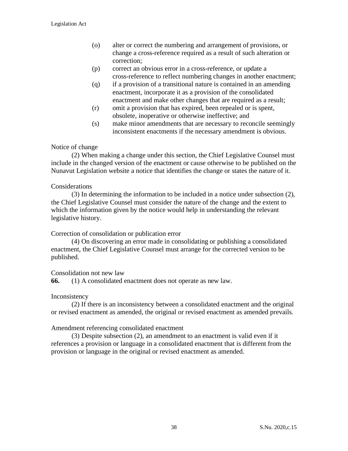- (o) alter or correct the numbering and arrangement of provisions, or change a cross-reference required as a result of such alteration or correction;
- (p) correct an obvious error in a cross-reference, or update a cross-reference to reflect numbering changes in another enactment;
- (q) if a provision of a transitional nature is contained in an amending enactment, incorporate it as a provision of the consolidated enactment and make other changes that are required as a result;
- (r) omit a provision that has expired, been repealed or is spent, obsolete, inoperative or otherwise ineffective; and
- (s) make minor amendments that are necessary to reconcile seemingly inconsistent enactments if the necessary amendment is obvious.

## Notice of change

(2) When making a change under this section, the Chief Legislative Counsel must include in the changed version of the enactment or cause otherwise to be published on the Nunavut Legislation website a notice that identifies the change or states the nature of it.

## **Considerations**

(3) In determining the information to be included in a notice under subsection (2), the Chief Legislative Counsel must consider the nature of the change and the extent to which the information given by the notice would help in understanding the relevant legislative history.

## Correction of consolidation or publication error

(4) On discovering an error made in consolidating or publishing a consolidated enactment, the Chief Legislative Counsel must arrange for the corrected version to be published.

## Consolidation not new law

**66.** (1) A consolidated enactment does not operate as new law.

## Inconsistency

(2) If there is an inconsistency between a consolidated enactment and the original or revised enactment as amended, the original or revised enactment as amended prevails.

## Amendment referencing consolidated enactment

(3) Despite subsection (2), an amendment to an enactment is valid even if it references a provision or language in a consolidated enactment that is different from the provision or language in the original or revised enactment as amended.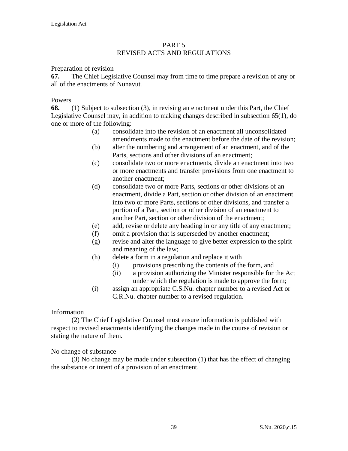#### PART 5 REVISED ACTS AND REGULATIONS

#### Preparation of revision

**67.** The Chief Legislative Counsel may from time to time prepare a revision of any or all of the enactments of Nunavut.

#### Powers

**68.** (1) Subject to subsection (3), in revising an enactment under this Part, the Chief Legislative Counsel may, in addition to making changes described in subsection 65(1), do one or more of the following:

- (a) consolidate into the revision of an enactment all unconsolidated amendments made to the enactment before the date of the revision;
- (b) alter the numbering and arrangement of an enactment, and of the Parts, sections and other divisions of an enactment;
- (c) consolidate two or more enactments, divide an enactment into two or more enactments and transfer provisions from one enactment to another enactment;
- (d) consolidate two or more Parts, sections or other divisions of an enactment, divide a Part, section or other division of an enactment into two or more Parts, sections or other divisions, and transfer a portion of a Part, section or other division of an enactment to another Part, section or other division of the enactment;
- (e) add, revise or delete any heading in or any title of any enactment;
- (f) omit a provision that is superseded by another enactment;
- (g) revise and alter the language to give better expression to the spirit and meaning of the law;
- (h) delete a form in a regulation and replace it with
	- (i) provisions prescribing the contents of the form, and
	- (ii) a provision authorizing the Minister responsible for the Act under which the regulation is made to approve the form;
- (i) assign an appropriate C.S.Nu. chapter number to a revised Act or C.R.Nu. chapter number to a revised regulation.

#### Information

(2) The Chief Legislative Counsel must ensure information is published with respect to revised enactments identifying the changes made in the course of revision or stating the nature of them.

## No change of substance

(3) No change may be made under subsection (1) that has the effect of changing the substance or intent of a provision of an enactment.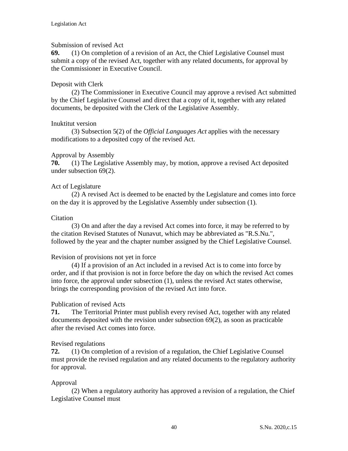## Submission of revised Act

**69.** (1) On completion of a revision of an Act, the Chief Legislative Counsel must submit a copy of the revised Act, together with any related documents, for approval by the Commissioner in Executive Council.

## Deposit with Clerk

(2) The Commissioner in Executive Council may approve a revised Act submitted by the Chief Legislative Counsel and direct that a copy of it, together with any related documents, be deposited with the Clerk of the Legislative Assembly.

## Inuktitut version

(3) Subsection 5(2) of the *Official Languages Act* applies with the necessary modifications to a deposited copy of the revised Act.

## Approval by Assembly

**70.** (1) The Legislative Assembly may, by motion, approve a revised Act deposited under subsection 69(2).

## Act of Legislature

(2) A revised Act is deemed to be enacted by the Legislature and comes into force on the day it is approved by the Legislative Assembly under subsection (1).

## Citation

(3) On and after the day a revised Act comes into force, it may be referred to by the citation Revised Statutes of Nunavut, which may be abbreviated as "R.S.Nu.", followed by the year and the chapter number assigned by the Chief Legislative Counsel.

## Revision of provisions not yet in force

(4) If a provision of an Act included in a revised Act is to come into force by order, and if that provision is not in force before the day on which the revised Act comes into force, the approval under subsection (1), unless the revised Act states otherwise, brings the corresponding provision of the revised Act into force.

## Publication of revised Acts

**71.** The Territorial Printer must publish every revised Act, together with any related documents deposited with the revision under subsection 69(2), as soon as practicable after the revised Act comes into force.

## Revised regulations

**72.** (1) On completion of a revision of a regulation, the Chief Legislative Counsel must provide the revised regulation and any related documents to the regulatory authority for approval.

## Approval

(2) When a regulatory authority has approved a revision of a regulation, the Chief Legislative Counsel must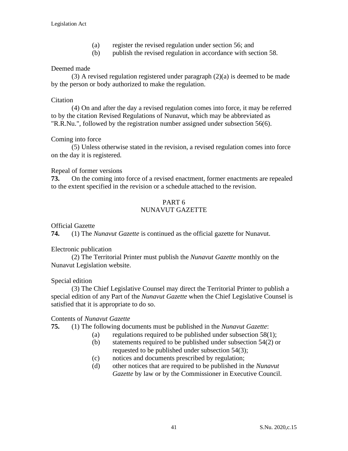- (a) register the revised regulation under section 56; and
- (b) publish the revised regulation in accordance with section 58.

## Deemed made

(3) A revised regulation registered under paragraph (2)(a) is deemed to be made by the person or body authorized to make the regulation.

## **Citation**

(4) On and after the day a revised regulation comes into force, it may be referred to by the citation Revised Regulations of Nunavut, which may be abbreviated as "R.R.Nu.", followed by the registration number assigned under subsection 56(6).

## Coming into force

(5) Unless otherwise stated in the revision, a revised regulation comes into force on the day it is registered.

## Repeal of former versions

**73.** On the coming into force of a revised enactment, former enactments are repealed to the extent specified in the revision or a schedule attached to the revision.

## PART 6 NUNAVUT GAZETTE

Official Gazette

**74.** (1) The *Nunavut Gazette* is continued as the official gazette for Nunavut.

## Electronic publication

(2) The Territorial Printer must publish the *Nunavut Gazette* monthly on the Nunavut Legislation website.

## Special edition

(3) The Chief Legislative Counsel may direct the Territorial Printer to publish a special edition of any Part of the *Nunavut Gazette* when the Chief Legislative Counsel is satisfied that it is appropriate to do so.

## Contents of *Nunavut Gazette*

**75.** (1) The following documents must be published in the *Nunavut Gazette*:

- (a) regulations required to be published under subsection  $58(1)$ ;
- (b) statements required to be published under subsection 54(2) or requested to be published under subsection 54(3);
- (c) notices and documents prescribed by regulation;
- (d) other notices that are required to be published in the *Nunavut Gazette* by law or by the Commissioner in Executive Council.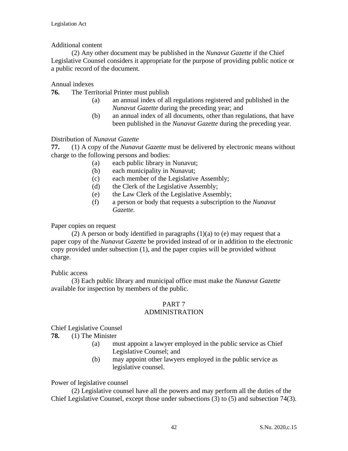## Additional content

(2) Any other document may be published in the *Nunavut Gazette* if the Chief Legislative Counsel considers it appropriate for the purpose of providing public notice or a public record of the document.

## Annual indexes

**76.** The Territorial Printer must publish

- (a) an annual index of all regulations registered and published in the *Nunavut Gazette* during the preceding year; and
- (b) an annual index of all documents, other than regulations, that have been published in the *Nunavut Gazette* during the preceding year.

## Distribution of *Nunavut Gazette*

**77.** (1) A copy of the *Nunavut Gazette* must be delivered by electronic means without charge to the following persons and bodies:

- (a) each public library in Nunavut;
- (b) each municipality in Nunavut;
- (c) each member of the Legislative Assembly;
- (d) the Clerk of the Legislative Assembly;
- (e) the Law Clerk of the Legislative Assembly;
- (f) a person or body that requests a subscription to the *Nunavut Gazette*.

Paper copies on request

(2) A person or body identified in paragraphs  $(1)(a)$  to (e) may request that a paper copy of the *Nunavut Gazette* be provided instead of or in addition to the electronic copy provided under subsection (1), and the paper copies will be provided without charge.

Public access

(3) Each public library and municipal office must make the *Nunavut Gazette* available for inspection by members of the public.

## PART 7

## ADMINISTRATION

## Chief Legislative Counsel

- **78.** (1) The Minister
	- (a) must appoint a lawyer employed in the public service as Chief Legislative Counsel; and
	- (b) may appoint other lawyers employed in the public service as legislative counsel.

Power of legislative counsel

(2) Legislative counsel have all the powers and may perform all the duties of the Chief Legislative Counsel, except those under subsections (3) to (5) and subsection 74(3).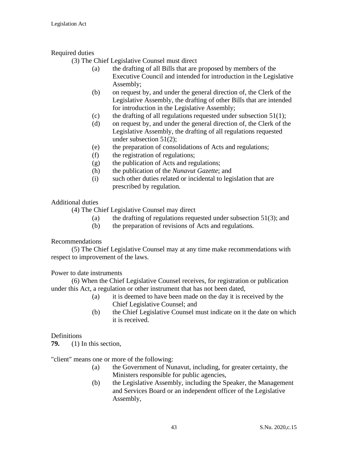## Required duties

(3) The Chief Legislative Counsel must direct

- (a) the drafting of all Bills that are proposed by members of the Executive Council and intended for introduction in the Legislative Assembly;
- (b) on request by, and under the general direction of, the Clerk of the Legislative Assembly, the drafting of other Bills that are intended for introduction in the Legislative Assembly;
- (c) the drafting of all regulations requested under subsection  $51(1)$ ;
- (d) on request by, and under the general direction of, the Clerk of the Legislative Assembly, the drafting of all regulations requested under subsection 51(2);
- (e) the preparation of consolidations of Acts and regulations;
- (f) the registration of regulations;
- (g) the publication of Acts and regulations;
- (h) the publication of the *Nunavut Gazette*; and
- (i) such other duties related or incidental to legislation that are prescribed by regulation.

## Additional duties

(4) The Chief Legislative Counsel may direct

- (a) the drafting of regulations requested under subsection  $51(3)$ ; and
- (b) the preparation of revisions of Acts and regulations.

## Recommendations

(5) The Chief Legislative Counsel may at any time make recommendations with respect to improvement of the laws.

Power to date instruments

(6) When the Chief Legislative Counsel receives, for registration or publication under this Act, a regulation or other instrument that has not been dated,

- (a) it is deemed to have been made on the day it is received by the Chief Legislative Counsel; and
- (b) the Chief Legislative Counsel must indicate on it the date on which it is received.

## Definitions

**79.** (1) In this section,

"client" means one or more of the following:

- (a) the Government of Nunavut, including, for greater certainty, the Ministers responsible for public agencies,
- (b) the Legislative Assembly, including the Speaker, the Management and Services Board or an independent officer of the Legislative Assembly,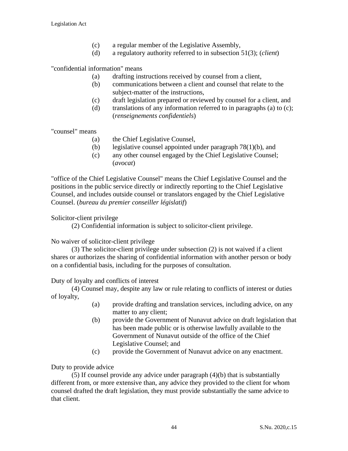- (c) a regular member of the Legislative Assembly,
- (d) a regulatory authority referred to in subsection 51(3); (*client*)

"confidential information" means

- (a) drafting instructions received by counsel from a client,
- (b) communications between a client and counsel that relate to the subject-matter of the instructions,
- (c) draft legislation prepared or reviewed by counsel for a client, and
- (d) translations of any information referred to in paragraphs (a) to  $(c)$ ; (*renseignements confidentiels*)

"counsel" means

- (a) the Chief Legislative Counsel,
- (b) legislative counsel appointed under paragraph 78(1)(b), and
- (c) any other counsel engaged by the Chief Legislative Counsel; (*avocat*)

"office of the Chief Legislative Counsel" means the Chief Legislative Counsel and the positions in the public service directly or indirectly reporting to the Chief Legislative Counsel, and includes outside counsel or translators engaged by the Chief Legislative Counsel. (*bureau du premier conseiller législatif*)

Solicitor-client privilege

(2) Confidential information is subject to solicitor-client privilege.

No waiver of solicitor-client privilege

(3) The solicitor-client privilege under subsection (2) is not waived if a client shares or authorizes the sharing of confidential information with another person or body on a confidential basis, including for the purposes of consultation.

Duty of loyalty and conflicts of interest

(4) Counsel may, despite any law or rule relating to conflicts of interest or duties of loyalty,

- (a) provide drafting and translation services, including advice, on any matter to any client;
- (b) provide the Government of Nunavut advice on draft legislation that has been made public or is otherwise lawfully available to the Government of Nunavut outside of the office of the Chief Legislative Counsel; and
- (c) provide the Government of Nunavut advice on any enactment.

Duty to provide advice

(5) If counsel provide any advice under paragraph (4)(b) that is substantially different from, or more extensive than, any advice they provided to the client for whom counsel drafted the draft legislation, they must provide substantially the same advice to that client.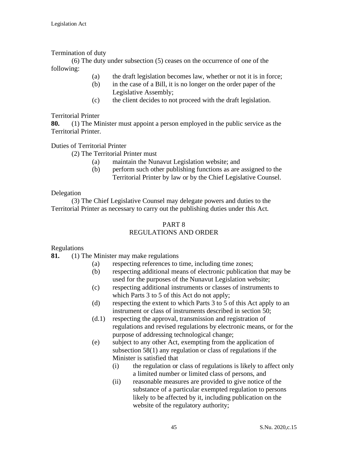## Termination of duty

(6) The duty under subsection (5) ceases on the occurrence of one of the following:

- (a) the draft legislation becomes law, whether or not it is in force;
- (b) in the case of a Bill, it is no longer on the order paper of the Legislative Assembly;
- (c) the client decides to not proceed with the draft legislation.

## Territorial Printer

**80.** (1) The Minister must appoint a person employed in the public service as the Territorial Printer.

## Duties of Territorial Printer

(2) The Territorial Printer must

- (a) maintain the Nunavut Legislation website; and
- (b) perform such other publishing functions as are assigned to the Territorial Printer by law or by the Chief Legislative Counsel.

## Delegation

(3) The Chief Legislative Counsel may delegate powers and duties to the Territorial Printer as necessary to carry out the publishing duties under this Act.

## PART 8 REGULATIONS AND ORDER

## Regulations

**81.** (1) The Minister may make regulations

- (a) respecting references to time, including time zones;
- (b) respecting additional means of electronic publication that may be used for the purposes of the Nunavut Legislation website;
- (c) respecting additional instruments or classes of instruments to which Parts 3 to 5 of this Act do not apply;
- (d) respecting the extent to which Parts 3 to 5 of this Act apply to an instrument or class of instruments described in section 50;
- (d.1) respecting the approval, transmission and registration of regulations and revised regulations by electronic means, or for the purpose of addressing technological change;
- (e) subject to any other Act, exempting from the application of subsection 58(1) any regulation or class of regulations if the Minister is satisfied that
	- (i) the regulation or class of regulations is likely to affect only a limited number or limited class of persons, and
	- (ii) reasonable measures are provided to give notice of the substance of a particular exempted regulation to persons likely to be affected by it, including publication on the website of the regulatory authority;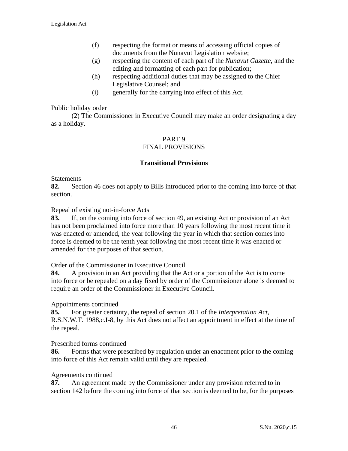- (f) respecting the format or means of accessing official copies of documents from the Nunavut Legislation website;
- (g) respecting the content of each part of the *Nunavut Gazette*, and the editing and formatting of each part for publication;
- (h) respecting additional duties that may be assigned to the Chief Legislative Counsel; and
- (i) generally for the carrying into effect of this Act.

## Public holiday order

(2) The Commissioner in Executive Council may make an order designating a day as a holiday.

# PART 9

# FINAL PROVISIONS

#### **Transitional Provisions**

#### **Statements**

**82.** Section 46 does not apply to Bills introduced prior to the coming into force of that section.

Repeal of existing not-in-force Acts

**83.** If, on the coming into force of section 49, an existing Act or provision of an Act has not been proclaimed into force more than 10 years following the most recent time it was enacted or amended, the year following the year in which that section comes into force is deemed to be the tenth year following the most recent time it was enacted or amended for the purposes of that section.

Order of the Commissioner in Executive Council

**84.** A provision in an Act providing that the Act or a portion of the Act is to come into force or be repealed on a day fixed by order of the Commissioner alone is deemed to require an order of the Commissioner in Executive Council.

#### Appointments continued

**85.** For greater certainty, the repeal of section 20.1 of the *Interpretation Act*, R.S.N.W.T. 1988,c.I-8, by this Act does not affect an appointment in effect at the time of the repeal.

## Prescribed forms continued

**86.** Forms that were prescribed by regulation under an enactment prior to the coming into force of this Act remain valid until they are repealed.

#### Agreements continued

**87.** An agreement made by the Commissioner under any provision referred to in section 142 before the coming into force of that section is deemed to be, for the purposes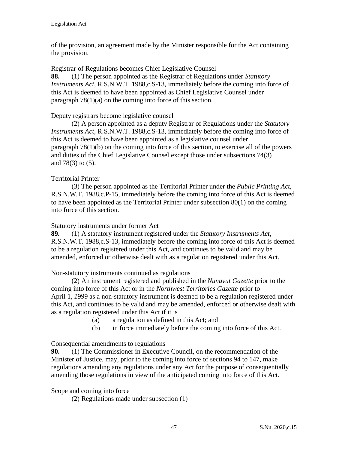of the provision, an agreement made by the Minister responsible for the Act containing the provision.

Registrar of Regulations becomes Chief Legislative Counsel **88.** (1) The person appointed as the Registrar of Regulations under *Statutory Instruments Act*, R.S.N.W.T. 1988,c.S-13, immediately before the coming into force of this Act is deemed to have been appointed as Chief Legislative Counsel under paragraph 78(1)(a) on the coming into force of this section.

## Deputy registrars become legislative counsel

(2) A person appointed as a deputy Registrar of Regulations under the *Statutory Instruments Act*, R.S.N.W.T. 1988,c.S-13, immediately before the coming into force of this Act is deemed to have been appointed as a legislative counsel under paragraph 78(1)(b) on the coming into force of this section, to exercise all of the powers and duties of the Chief Legislative Counsel except those under subsections 74(3) and 78(3) to (5).

## Territorial Printer

(3) The person appointed as the Territorial Printer under the *Public Printing Act*, R.S.N.W.T. 1988,c.P-15, immediately before the coming into force of this Act is deemed to have been appointed as the Territorial Printer under subsection 80(1) on the coming into force of this section.

## Statutory instruments under former Act

**89.** (1) A statutory instrument registered under the *Statutory Instruments Act*, R.S.N.W.T. 1988,c.S-13, immediately before the coming into force of this Act is deemed to be a regulation registered under this Act, and continues to be valid and may be amended, enforced or otherwise dealt with as a regulation registered under this Act.

## Non-statutory instruments continued as regulations

(2) An instrument registered and published in the *Nunavut Gazette* prior to the coming into force of this Act or in the *Northwest Territories Gazette* prior to April 1, *1*999 as a non-statutory instrument is deemed to be a regulation registered under this Act, and continues to be valid and may be amended, enforced or otherwise dealt with as a regulation registered under this Act if it is

- (a) a regulation as defined in this Act; and
- (b) in force immediately before the coming into force of this Act.

## Consequential amendments to regulations

**90.** (1) The Commissioner in Executive Council, on the recommendation of the Minister of Justice, may, prior to the coming into force of sections 94 to 147, make regulations amending any regulations under any Act for the purpose of consequentially amending those regulations in view of the anticipated coming into force of this Act.

Scope and coming into force

(2) Regulations made under subsection (1)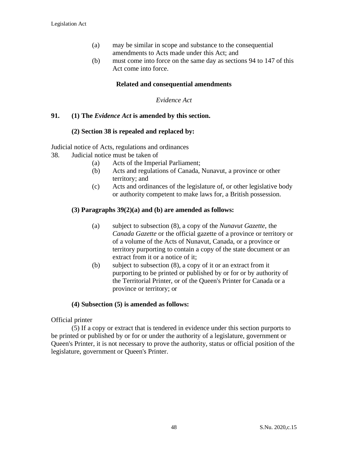- (a) may be similar in scope and substance to the consequential amendments to Acts made under this Act; and
- (b) must come into force on the same day as sections 94 to 147 of this Act come into force.

#### **Related and consequential amendments**

#### *Evidence Act*

#### **91. (1) The** *Evidence Act* **is amended by this section.**

#### **(2) Section 38 is repealed and replaced by:**

Judicial notice of Acts, regulations and ordinances

- 38. Judicial notice must be taken of
	- (a) Acts of the Imperial Parliament;
	- (b) Acts and regulations of Canada, Nunavut, a province or other territory; and
	- (c) Acts and ordinances of the legislature of, or other legislative body or authority competent to make laws for, a British possession.

#### **(3) Paragraphs 39(2)(a) and (b) are amended as follows:**

- (a) subject to subsection (8), a copy of the *Nunavut Gazette*, the *Canada Gazette* or the official gazette of a province or territory or of a volume of the Acts of Nunavut, Canada, or a province or territory purporting to contain a copy of the state document or an extract from it or a notice of it;
- (b) subject to subsection (8), a copy of it or an extract from it purporting to be printed or published by or for or by authority of the Territorial Printer, or of the Queen's Printer for Canada or a province or territory; or

#### **(4) Subsection (5) is amended as follows:**

Official printer

(5) If a copy or extract that is tendered in evidence under this section purports to be printed or published by or for or under the authority of a legislature, government or Queen's Printer, it is not necessary to prove the authority, status or official position of the legislature, government or Queen's Printer.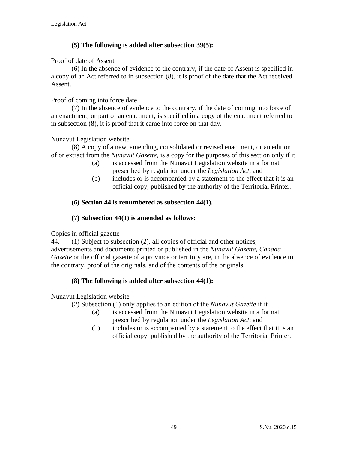## **(5) The following is added after subsection 39(5):**

## Proof of date of Assent

(6) In the absence of evidence to the contrary, if the date of Assent is specified in a copy of an Act referred to in subsection (8), it is proof of the date that the Act received Assent.

## Proof of coming into force date

(7) In the absence of evidence to the contrary, if the date of coming into force of an enactment, or part of an enactment, is specified in a copy of the enactment referred to in subsection (8), it is proof that it came into force on that day.

## Nunavut Legislation website

(8) A copy of a new, amending, consolidated or revised enactment, or an edition of or extract from the *Nunavut Gazette*, is a copy for the purposes of this section only if it

- (a) is accessed from the Nunavut Legislation website in a format prescribed by regulation under the *Legislation Act*; and
- (b) includes or is accompanied by a statement to the effect that it is an official copy, published by the authority of the Territorial Printer.

## **(6) Section 44 is renumbered as subsection 44(1).**

## **(7) Subsection 44(1) is amended as follows:**

Copies in official gazette

44. (1) Subject to subsection (2), all copies of official and other notices, advertisements and documents printed or published in the *Nunavut Gazette*, *Canada Gazette* or the official gazette of a province or territory are, in the absence of evidence to the contrary, proof of the originals, and of the contents of the originals.

## **(8) The following is added after subsection 44(1):**

## Nunavut Legislation website

(2) Subsection (1) only applies to an edition of the *Nunavut Gazette* if it

- (a) is accessed from the Nunavut Legislation website in a format prescribed by regulation under the *Legislation Act*; and
- (b) includes or is accompanied by a statement to the effect that it is an official copy, published by the authority of the Territorial Printer.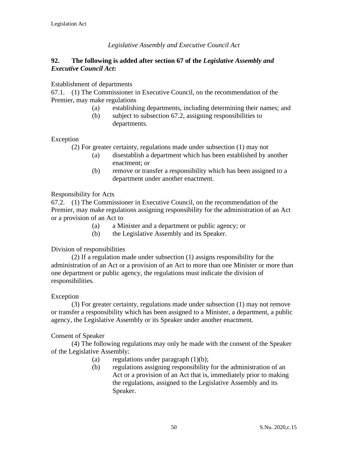## *Legislative Assembly and Executive Council Act*

## **92. The following is added after section 67 of the** *Legislative Assembly and Executive Council Act***:**

#### Establishment of departments

67.1. (1) The Commissioner in Executive Council, on the recommendation of the Premier, may make regulations

- (a) establishing departments, including determining their names; and
- (b) subject to subsection 67.2, assigning responsibilities to departments.

## Exception

- (2) For greater certainty, regulations made under subsection (1) may not
	- (a) disestablish a department which has been established by another enactment; or
	- (b) remove or transfer a responsibility which has been assigned to a department under another enactment.

## Responsibility for Acts

67.2. (1) The Commissioner in Executive Council, on the recommendation of the Premier, may make regulations assigning responsibility for the administration of an Act or a provision of an Act to

- (a) a Minister and a department or public agency; or
- (b) the Legislative Assembly and its Speaker.

## Division of responsibilities

(2) If a regulation made under subsection (1) assigns responsibility for the administration of an Act or a provision of an Act to more than one Minister or more than one department or public agency, the regulations must indicate the division of responsibilities.

## Exception

(3) For greater certainty, regulations made under subsection (1) may not remove or transfer a responsibility which has been assigned to a Minister, a department, a public agency, the Legislative Assembly or its Speaker under another enactment.

#### Consent of Speaker

(4) The following regulations may only be made with the consent of the Speaker of the Legislative Assembly:

- (a) regulations under paragraph  $(1)(b)$ ;
- (b) regulations assigning responsibility for the administration of an Act or a provision of an Act that is, immediately prior to making the regulations, assigned to the Legislative Assembly and its Speaker.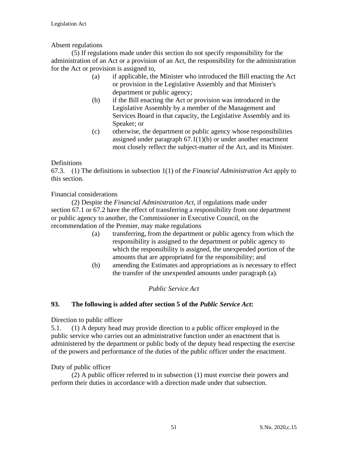## Absent regulations

(5) If regulations made under this section do not specify responsibility for the administration of an Act or a provision of an Act, the responsibility for the administration for the Act or provision is assigned to,

- (a) if applicable, the Minister who introduced the Bill enacting the Act or provision in the Legislative Assembly and that Minister's department or public agency;
- (b) if the Bill enacting the Act or provision was introduced in the Legislative Assembly by a member of the Management and Services Board in that capacity, the Legislative Assembly and its Speaker; or
- (c) otherwise, the department or public agency whose responsibilities assigned under paragraph  $67.1(1)(b)$  or under another enactment most closely reflect the subject-matter of the Act, and its Minister.

## Definitions

67.3. (1) The definitions in subsection 1(1) of the *Financial Administration Act* apply to this section.

## Financial considerations

(2) Despite the *Financial Administration Act*, if regulations made under section 67.1 or 67.2 have the effect of transferring a responsibility from one department or public agency to another, the Commissioner in Executive Council, on the recommendation of the Premier, may make regulations

- (a) transferring, from the department or public agency from which the responsibility is assigned to the department or public agency to which the responsibility is assigned, the unexpended portion of the amounts that are appropriated for the responsibility; and
- (b) amending the Estimates and appropriations as is necessary to effect the transfer of the unexpended amounts under paragraph (a).

## *Public Service Act*

## **93. The following is added after section 5 of the** *Public Service Act***:**

## Direction to public officer

5.1. (1) A deputy head may provide direction to a public officer employed in the public service who carries out an administrative function under an enactment that is administered by the department or public body of the deputy head respecting the exercise of the powers and performance of the duties of the public officer under the enactment.

## Duty of public officer

(2) A public officer referred to in subsection (1) must exercise their powers and perform their duties in accordance with a direction made under that subsection.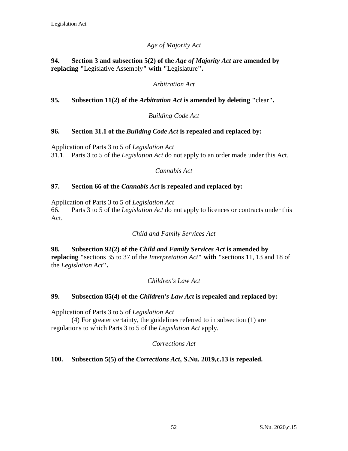## *Age of Majority Act*

## **94. Section 3 and subsection 5(2) of the** *Age of Majority Act* **are amended by replacing "**Legislative Assembly**" with "**Legislature**".**

## *Arbitration Act*

## **95. Subsection 11(2) of the** *Arbitration Act* **is amended by deleting "**clear**".**

## *Building Code Act*

## **96. Section 31.1 of the** *Building Code Act* **is repealed and replaced by:**

Application of Parts 3 to 5 of *Legislation Act*

31.1. Parts 3 to 5 of the *Legislation Act* do not apply to an order made under this Act.

## *Cannabis Act*

## **97. Section 66 of the** *Cannabis Act* **is repealed and replaced by:**

Application of Parts 3 to 5 of *Legislation Act*

66. Parts 3 to 5 of the *Legislation Act* do not apply to licences or contracts under this Act.

## *Child and Family Services Act*

**98. Subsection 92(2) of the** *Child and Family Services Act* **is amended by replacing "**sections 35 to 37 of the *Interpretation Act***" with "**sections 11, 13 and 18 of the *Legislation Act***".**

## *Children's Law Act*

## **99. Subsection 85(4) of the** *Children's Law Act* **is repealed and replaced by:**

Application of Parts 3 to 5 of *Legislation Act*

(4) For greater certainty, the guidelines referred to in subsection (1) are regulations to which Parts 3 to 5 of the *Legislation Act* apply.

## *Corrections Act*

## **100. Subsection 5(5) of the** *Corrections Act***, S.Nu. 2019,c.13 is repealed.**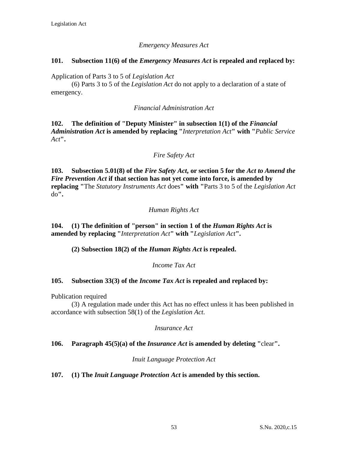## *Emergency Measures Act*

## **101. Subsection 11(6) of the** *Emergency Measures Act* **is repealed and replaced by:**

Application of Parts 3 to 5 of *Legislation Act*

(6) Parts 3 to 5 of the *Legislation Act* do not apply to a declaration of a state of emergency.

## *Financial Administration Act*

**102. The definition of "Deputy Minister" in subsection 1(1) of the** *Financial Administration Act* **is amended by replacing "***Interpretation Act***" with "***Public Service Act***".**

## *Fire Safety Act*

**103. Subsection 5.01(8) of the** *Fire Safety Act***, or section 5 for the** *Act to Amend the Fire Prevention Act* **if that section has not yet come into force, is amended by replacing "**The *Statutory Instruments Act* does**" with "**Parts 3 to 5 of the *Legislation Act* do**".**

## *Human Rights Act*

**104. (1) The definition of "person" in section 1 of the** *Human Rights Act* **is amended by replacing "***Interpretation Act***" with "***Legislation Act***".**

**(2) Subsection 18(2) of the** *Human Rights Act* **is repealed.**

*Income Tax Act*

## **105. Subsection 33(3) of the** *Income Tax Act* **is repealed and replaced by:**

Publication required

(3) A regulation made under this Act has no effect unless it has been published in accordance with subsection 58(1) of the *Legislation Act*.

*Insurance Act*

## **106. Paragraph 45(5)(a) of the** *Insurance Act* **is amended by deleting "**clear**".**

*Inuit Language Protection Act*

**107. (1) The** *Inuit Language Protection Act* **is amended by this section.**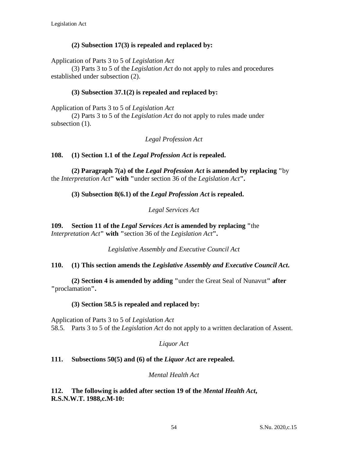## **(2) Subsection 17(3) is repealed and replaced by:**

Application of Parts 3 to 5 of *Legislation Act*

(3) Parts 3 to 5 of the *Legislation Act* do not apply to rules and procedures established under subsection (2).

## **(3) Subsection 37.1(2) is repealed and replaced by:**

Application of Parts 3 to 5 of *Legislation Act*

(2) Parts 3 to 5 of the *Legislation Act* do not apply to rules made under subsection  $(1)$ .

*Legal Profession Act*

## **108. (1) Section 1.1 of the** *Legal Profession Act* **is repealed.**

**(2) Paragraph 7(a) of the** *Legal Profession Act* **is amended by replacing "**by the *Interpretation Act***" with "**under section 36 of the *Legislation Act***".**

## **(3) Subsection 8(6.1) of the** *Legal Profession Act* **is repealed.**

*Legal Services Act*

**109. Section 11 of the** *Legal Services Act* **is amended by replacing "**the *Interpretation Act***" with "**section 36 of the *Legislation Act***".**

*Legislative Assembly and Executive Council Act*

## **110. (1) This section amends the** *Legislative Assembly and Executive Council Act***.**

**(2) Section 4 is amended by adding "**under the Great Seal of Nunavut**" after "**proclamation**".**

## **(3) Section 58.5 is repealed and replaced by:**

Application of Parts 3 to 5 of *Legislation Act* 58.5. Parts 3 to 5 of the *Legislation Act* do not apply to a written declaration of Assent.

*Liquor Act*

## **111. Subsections 50(5) and (6) of the** *Liquor Act* **are repealed.**

## *Mental Health Act*

**112. The following is added after section 19 of the** *Mental Health Act***, R.S.N.W.T. 1988,c.M-10:**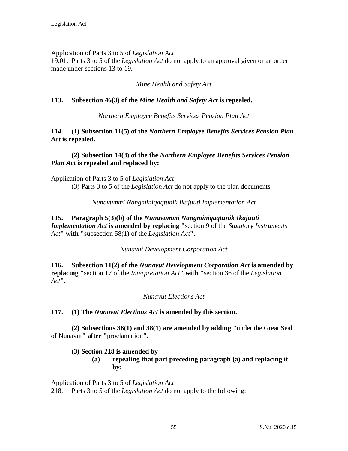## Application of Parts 3 to 5 of *Legislation Act*

19.01. Parts 3 to 5 of the *Legislation Act* do not apply to an approval given or an order made under sections 13 to 19.

## *Mine Health and Safety Act*

## **113. Subsection 46(3) of the** *Mine Health and Safety Act* **is repealed.**

*Northern Employee Benefits Services Pension Plan Act*

**114. (1) Subsection 11(5) of the** *Northern Employee Benefits Services Pension Plan Act* **is repealed.**

## **(2) Subsection 14(3) of the the** *Northern Employee Benefits Services Pension Plan Act* **is repealed and replaced by:**

Application of Parts 3 to 5 of *Legislation Act* (3) Parts 3 to 5 of the *Legislation Act* do not apply to the plan documents.

*Nunavummi Nangminiqaqtunik Ikajuuti Implementation Act*

## **115. Paragraph 5(3)(b) of the** *Nunavummi Nangminiqaqtunik Ikajuuti Implementation Act* **is amended by replacing "**section 9 of the *Statutory Instruments Act***" with "**subsection 58(1) of the *Legislation Act***".**

## *Nunavut Development Corporation Act*

**116. Subsection 11(2) of the** *Nunavut Development Corporation Act* **is amended by replacing "**section 17 of the *Interpretation Act***" with "**section 36 of the *Legislation Act***".**

## *Nunavut Elections Act*

## **117. (1) The** *Nunavut Elections Act* **is amended by this section.**

**(2) Subsections 36(1) and 38(1) are amended by adding "**under the Great Seal of Nunavut**" after "**proclamation**".**

## **(3) Section 218 is amended by**

## **(a) repealing that part preceding paragraph (a) and replacing it by:**

Application of Parts 3 to 5 of *Legislation Act*

218. Parts 3 to 5 of the *Legislation Act* do not apply to the following: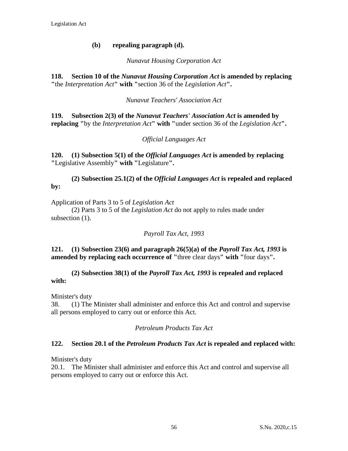## **(b) repealing paragraph (d).**

## *Nunavut Housing Corporation Act*

**118. Section 10 of the** *Nunavut Housing Corporation Act* **is amended by replacing "**the *Interpretation Act***" with "**section 36 of the *Legislation Act***".**

## *Nunavut Teachers' Association Act*

**119. Subsection 2(3) of the** *Nunavut Teachers' Association Act* **is amended by replacing "**by the *Interpretation Act***" with "**under section 36 of the *Legislation Act***".**

## *Official Languages Act*

**120. (1) Subsection 5(1) of the** *Official Languages Act* **is amended by replacing "**Legislative Assembly**" with "**Legislature**".**

**(2) Subsection 25.1(2) of the** *Official Languages Act* **is repealed and replaced by:**

Application of Parts 3 to 5 of *Legislation Act*

(2) Parts 3 to 5 of the *Legislation Act* do not apply to rules made under subsection  $(1)$ .

*Payroll Tax Act, 1993*

## **121. (1) Subsection 23(6) and paragraph 26(5)(a) of the** *Payroll Tax Act, 1993* **is amended by replacing each occurrence of "three clear days" with "four days".**

## **(2) Subsection 38(1) of the** *Payroll Tax Act, 1993* **is repealed and replaced with:**

Minister's duty

38. (1) The Minister shall administer and enforce this Act and control and supervise all persons employed to carry out or enforce this Act.

## *Petroleum Products Tax Act*

## **122. Section 20.1 of the** *Petroleum Products Tax Act* **is repealed and replaced with:**

Minister's duty

20.1. The Minister shall administer and enforce this Act and control and supervise all persons employed to carry out or enforce this Act.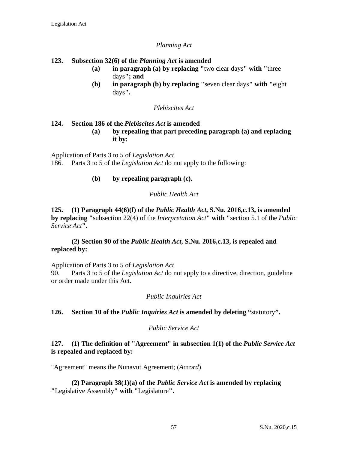## *Planning Act*

## **123. Subsection 32(6) of the** *Planning Act* **is amended**

- **(a) in paragraph (a) by replacing "**two clear days**" with "**three days**"; and**
- **(b) in paragraph (b) by replacing "**seven clear days**" with "**eight days**".**

#### *Plebiscites Act*

## **124. Section 186 of the** *Plebiscites Act* **is amended**

**(a) by repealing that part preceding paragraph (a) and replacing it by:**

Application of Parts 3 to 5 of *Legislation Act* 186. Parts 3 to 5 of the *Legislation Act* do not apply to the following:

## **(b) by repealing paragraph (c).**

## *Public Health Act*

**125. (1) Paragraph 44(6)(f) of the** *Public Health Act***, S.Nu. 2016,c.13, is amended by replacing "**subsection 22(4) of the *Interpretation Act***" with "**section 5.1 of the *Public Service Act***".**

## **(2) Section 90 of the** *Public Health Act***, S.Nu. 2016,c.13, is repealed and replaced by:**

Application of Parts 3 to 5 of *Legislation Act* 90. Parts 3 to 5 of the *Legislation Act* do not apply to a directive, direction, guideline or order made under this Act.

## *Public Inquiries Act*

## **126. Section 10 of the** *Public Inquiries Act* **is amended by deleting "**statutory**".**

## *Public Service Act*

## **127. (1) The definition of "Agreement" in subsection 1(1) of the** *Public Service Act* **is repealed and replaced by:**

"Agreement" means the Nunavut Agreement; (*Accord*)

**(2) Paragraph 38(1)(a) of the** *Public Service Act* **is amended by replacing "**Legislative Assembly**" with "**Legislature**".**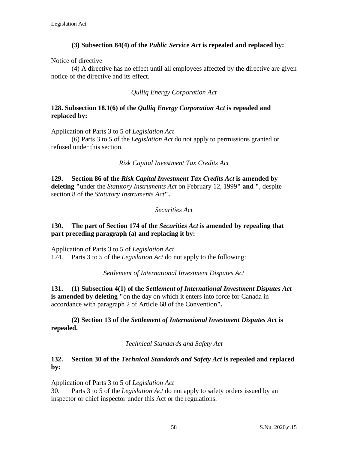## **(3) Subsection 84(4) of the** *Public Service Act* **is repealed and replaced by:**

Notice of directive

(4) A directive has no effect until all employees affected by the directive are given notice of the directive and its effect.

*Qulliq Energy Corporation Act*

## **128. Subsection 18.1(6) of the** *Qulliq Energy Corporation Act* **is repealed and replaced by:**

Application of Parts 3 to 5 of *Legislation Act*

(6) Parts 3 to 5 of the *Legislation Act* do not apply to permissions granted or refused under this section.

## *Risk Capital Investment Tax Credits Act*

**129. Section 86 of the** *Risk Capital Investment Tax Credits Act* **is amended by deleting "**under the *Statutory Instruments Act* on February 12, 1999**" and "**, despite section 8 of the *Statutory Instruments Act***".**

## *Securities Act*

## **130. The part of Section 174 of the** *Securities Act* **is amended by repealing that part preceding paragraph (a) and replacing it by:**

Application of Parts 3 to 5 of *Legislation Act*

174. Parts 3 to 5 of the *Legislation Act* do not apply to the following:

*Settlement of International Investment Disputes Act*

**131. (1) Subsection 4(1) of the** *Settlement of International Investment Disputes Act* **is amended by deleting "**on the day on which it enters into force for Canada in accordance with paragraph 2 of Article 68 of the Convention**".**

**(2) Section 13 of the** *Settlement of International Investment Disputes Act* **is repealed.**

*Technical Standards and Safety Act*

## **132. Section 30 of the** *Technical Standards and Safety Act* **is repealed and replaced by:**

Application of Parts 3 to 5 of *Legislation Act*

30. Parts 3 to 5 of the *Legislation Act* do not apply to safety orders issued by an inspector or chief inspector under this Act or the regulations.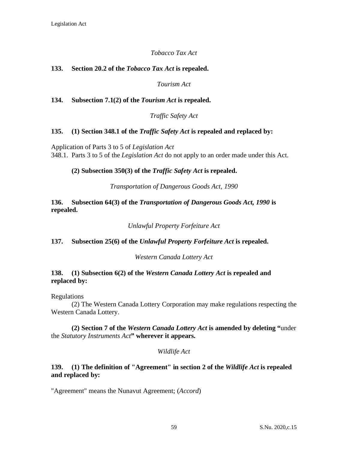## *Tobacco Tax Act*

## **133. Section 20.2 of the** *Tobacco Tax Act* **is repealed.**

*Tourism Act*

**134. Subsection 7.1(2) of the** *Tourism Act* **is repealed.**

*Traffic Safety Act*

## **135. (1) Section 348.1 of the** *Traffic Safety Act* **is repealed and replaced by:**

Application of Parts 3 to 5 of *Legislation Act* 348.1. Parts 3 to 5 of the *Legislation Act* do not apply to an order made under this Act.

#### **(2) Subsection 350(3) of the** *Traffic Safety Act* **is repealed.**

*Transportation of Dangerous Goods Act, 1990*

**136. Subsection 64(3) of the** *Transportation of Dangerous Goods Act, 1990* **is repealed.**

*Unlawful Property Forfeiture Act*

## **137. Subsection 25(6) of the** *Unlawful Property Forfeiture Act* **is repealed.**

*Western Canada Lottery Act*

## **138. (1) Subsection 6(2) of the** *Western Canada Lottery Act* **is repealed and replaced by:**

Regulations

(2) The Western Canada Lottery Corporation may make regulations respecting the Western Canada Lottery.

**(2) Section 7 of the** *Western Canada Lottery Act* **is amended by deleting "**under the *Statutory Instruments Act***" wherever it appears.**

#### *Wildlife Act*

## **139. (1) The definition of "Agreement" in section 2 of the** *Wildlife Act* **is repealed and replaced by:**

"Agreement" means the Nunavut Agreement; (*Accord*)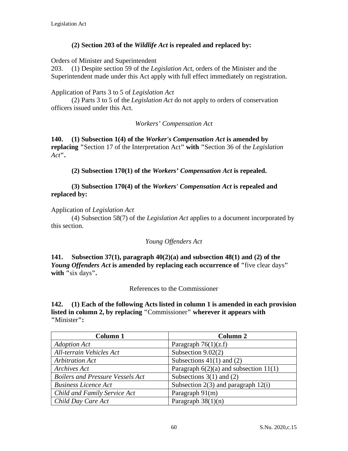## **(2) Section 203 of the** *Wildlife Act* **is repealed and replaced by:**

Orders of Minister and Superintendent

203. (1) Despite section 59 of the *Legislation Act*, orders of the Minister and the Superintendent made under this Act apply with full effect immediately on registration.

## Application of Parts 3 to 5 of *Legislation Act*

(2) Parts 3 to 5 of the *Legislation Act* do not apply to orders of conservation officers issued under this Act.

*Workers' Compensation Act*

**140. (1) Subsection 1(4) of the** *Worker's Compensation Act* **is amended by replacing "**Section 17 of the Interpretation Act**" with "**Section 36 of the *Legislation Act***".**

**(2) Subsection 170(1) of the** *Workers' Compensation Act* **is repealed.**

## **(3) Subsection 170(4) of the** *Workers' Compensation Act* **is repealed and replaced by:**

## Application of *Legislation Act*

(4) Subsection 58(7) of the *Legislation Act* applies to a document incorporated by this section.

## *Young Offenders Act*

**141. Subsection 37(1), paragraph 40(2)(a) and subsection 48(1) and (2) of the**  *Young Offenders Act* **is amended by replacing each occurrence of "**five clear days**" with "**six days**".**

References to the Commissioner

**142. (1) Each of the following Acts listed in column 1 is amended in each provision listed in column 2, by replacing "**Commissioner**" wherever it appears with "**Minister**":**

| Column 1                                | Column <sub>2</sub>                        |
|-----------------------------------------|--------------------------------------------|
| <b>Adoption Act</b>                     | Paragraph $76(1)(z.f)$                     |
| All-terrain Vehicles Act                | Subsection $9.02(2)$                       |
| <b>Arbitration Act</b>                  | Subsections $41(1)$ and $(2)$              |
| Archives Act                            | Paragraph $6(2)(a)$ and subsection $11(1)$ |
| <b>Boilers and Pressure Vessels Act</b> | Subsections $3(1)$ and $(2)$               |
| <b>Business Licence Act</b>             | Subsection $2(3)$ and paragraph $12(i)$    |
| Child and Family Service Act            | Paragraph 91(m)                            |
| Child Day Care Act                      | Paragraph $38(1)(n)$                       |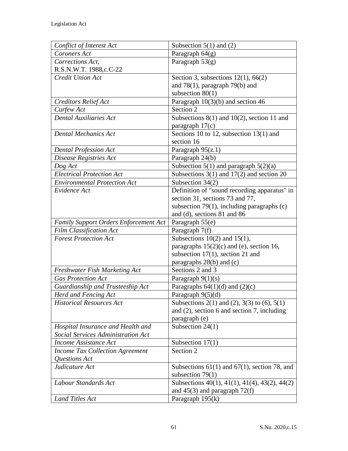| Conflict of Interest Act               | Subsection $5(1)$ and (2)                         |
|----------------------------------------|---------------------------------------------------|
| Coroners Act                           | Paragraph $64(g)$                                 |
| Corrections Act,                       | Paragraph $53(g)$                                 |
| R.S.N.W.T. 1988,c.C-22                 |                                                   |
| Credit Union Act                       | Section 3, subsections $12(1)$ , 66(2)            |
|                                        | and $78(1)$ , paragraph $79(b)$ and               |
|                                        | subsection $80(1)$                                |
| <b>Creditors Relief Act</b>            | Paragraph $10(3)(b)$ and section 46               |
| Curfew Act                             | Section 2                                         |
| <b>Dental Auxiliaries Act</b>          | Subsections $8(1)$ and $10(2)$ , section 11 and   |
|                                        | paragraph $17(c)$                                 |
| <b>Dental Mechanics Act</b>            | Sections 10 to 12, subsection $13(1)$ and         |
|                                        | section 16                                        |
| <b>Dental Profession Act</b>           | Paragraph $95(z.1)$                               |
| Disease Registries Act                 | Paragraph 24(b)                                   |
| Dog Act                                | Subsection 5(1) and paragraph $5(2)(a)$           |
| <b>Electrical Protection Act</b>       | Subsections $3(1)$ and $17(2)$ and section 20     |
| <b>Environmental Protection Act</b>    | Subsection 34(2)                                  |
| Evidence Act                           | Definition of "sound recording apparatus" in      |
|                                        | section 31, sections 73 and 77,                   |
|                                        | subsection $79(1)$ , including paragraphs (c)     |
|                                        | and (d), sections 81 and 86                       |
| Family Support Orders Enforcement Act  | Paragraph 55(e)                                   |
| <b>Film Classification Act</b>         | Paragraph 7(f)                                    |
| <b>Forest Protection Act</b>           | Subsections $10(2)$ and $15(1)$ ,                 |
|                                        | paragraphs $15(2)(c)$ and (e), section 16,        |
|                                        | subsection $17(1)$ , section 21 and               |
|                                        | paragraphs 28(b) and (c)                          |
| <b>Freshwater Fish Marketing Act</b>   | Sections 2 and 3                                  |
| <b>Gas Protection Act</b>              | Paragraph $9(1)(s)$                               |
| Guardianship and Trusteeship Act       | Paragraphs $64(1)(d)$ and $(2)(c)$                |
| Herd and Fencing Act                   | Paragraph 9(5)(d)                                 |
| <b>Historical Resources Act</b>        | Subsections 2(1) and (2), 3(3) to (6), 5(1)       |
|                                        | and $(2)$ , section 6 and section 7, including    |
|                                        | paragraph (e)                                     |
| Hospital Insurance and Health and      | Subsection $24(1)$                                |
| Social Services Administration Act     |                                                   |
| <b>Income Assistance Act</b>           | Subsection $17(1)$                                |
| <b>Income Tax Collection Agreement</b> | Section 2                                         |
| Questions Act                          |                                                   |
| Judicature Act                         | Subsections $61(1)$ and $67(1)$ , section 78, and |
|                                        | subsection $79(1)$                                |
| Labour Standards Act                   | Subsections 40(1), 41(1), 41(4), 43(2), 44(2)     |
|                                        | and $45(3)$ and paragraph $72(f)$                 |
| <b>Land Titles Act</b>                 | Paragraph 195(k)                                  |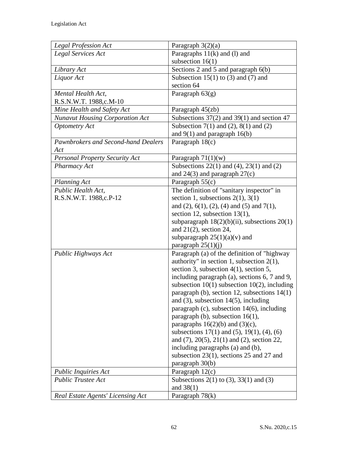| <b>Legal Profession Act</b>            | Paragraph $3(2)(a)$                                       |
|----------------------------------------|-----------------------------------------------------------|
| Legal Services Act                     | Paragraphs $11(k)$ and (l) and                            |
|                                        | subsection $16(1)$                                        |
| Library Act                            | Sections 2 and 5 and paragraph 6(b)                       |
| Liquor Act                             | Subsection 15(1) to (3) and (7) and                       |
|                                        | section 64                                                |
| Mental Health Act,                     | Paragraph $63(g)$                                         |
| R.S.N.W.T. 1988,c.M-10                 |                                                           |
| Mine Health and Safety Act             | Paragraph $45$ (zb)                                       |
| <b>Nunavut Housing Corporation Act</b> | Subsections $37(2)$ and $39(1)$ and section 47            |
| <b>Optometry Act</b>                   | Subsection $7(1)$ and $(2)$ , $8(1)$ and $(2)$            |
|                                        | and $9(1)$ and paragraph $16(b)$                          |
| Pawnbrokers and Second-hand Dealers    | Paragraph 18(c)                                           |
| Act                                    |                                                           |
| <b>Personal Property Security Act</b>  | Paragraph $71(1)(w)$                                      |
| Pharmacy Act                           | Subsections $22(1)$ and $(4)$ , $23(1)$ and $(2)$         |
|                                        | and $24(3)$ and paragraph $27(c)$                         |
| <b>Planning Act</b>                    | Paragraph 55(c)                                           |
| Public Health Act,                     | The definition of "sanitary inspector" in                 |
| R.S.N.W.T. 1988,c.P-12                 | section 1, subsections $2(1)$ , $3(1)$                    |
|                                        | and $(2)$ , $6(1)$ , $(2)$ , $(4)$ and $(5)$ and $7(1)$ , |
|                                        | section 12, subsection 13(1),                             |
|                                        | subparagraph $18(2)(b)(ii)$ , subsections $20(1)$         |
|                                        | and $21(2)$ , section 24,                                 |
|                                        | subparagraph $25(1)(a)(v)$ and                            |
|                                        | paragraph $25(1)(j)$                                      |
| Public Highways Act                    | Paragraph (a) of the definition of "highway               |
|                                        | authority" in section 1, subsection $2(1)$ ,              |
|                                        | section 3, subsection 4(1), section 5,                    |
|                                        | including paragraph (a), sections 6, 7 and 9,             |
|                                        | subsection $10(1)$ subsection $10(2)$ , including         |
|                                        | paragraph (b), section 12, subsections 14(1)              |
|                                        | and $(3)$ , subsection 14 $(5)$ , including               |
|                                        | paragraph $(c)$ , subsection 14 $(6)$ , including         |
|                                        | paragraph (b), subsection $16(1)$ ,                       |
|                                        | paragraphs $16(2)(b)$ and $(3)(c)$ ,                      |
|                                        | subsections $17(1)$ and $(5)$ , $19(1)$ , $(4)$ , $(6)$   |
|                                        | and $(7)$ , $20(5)$ , $21(1)$ and $(2)$ , section 22,     |
|                                        | including paragraphs (a) and (b),                         |
|                                        | subsection 23(1), sections 25 and 27 and                  |
|                                        | paragraph 30(b)                                           |
| <b>Public Inquiries Act</b>            | Paragraph $12(c)$                                         |
| <b>Public Trustee Act</b>              | Subsections 2(1) to (3), 33(1) and (3)                    |
|                                        | and $38(1)$                                               |
| Real Estate Agents' Licensing Act      | Paragraph $78(k)$                                         |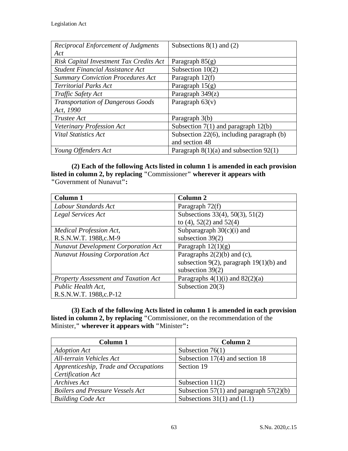| <b>Reciprocal Enforcement of Judgments</b> | Subsections $8(1)$ and $(2)$                   |
|--------------------------------------------|------------------------------------------------|
| Act                                        |                                                |
| Risk Capital Investment Tax Credits Act    | Paragraph $85(g)$                              |
| <b>Student Financial Assistance Act</b>    | Subsection $10(2)$                             |
| <b>Summary Conviction Procedures Act</b>   | Paragraph 12(f)                                |
| <b>Territorial Parks Act</b>               | Paragraph $15(g)$                              |
| Traffic Safety Act                         | Paragraph 349(z)                               |
| <b>Transportation of Dangerous Goods</b>   | Paragraph $63(v)$                              |
| Act, 1990                                  |                                                |
| Trustee Act                                | Paragraph 3(b)                                 |
| Veterinary Profession Act                  | Subsection $7(1)$ and paragraph $12(b)$        |
| <b>Vital Statistics Act</b>                | Subsection $22(6)$ , including paragraph $(b)$ |
|                                            | and section 48                                 |
| Young Offenders Act                        | Paragraph $8(1)(a)$ and subsection $92(1)$     |

**(2) Each of the following Acts listed in column 1 is amended in each provision listed in column 2, by replacing "**Commissioner**" wherever it appears with "**Government of Nunavut**":**

| Column 1                                    | <b>Column 2</b>                           |
|---------------------------------------------|-------------------------------------------|
| Labour Standards Act                        | Paragraph 72(f)                           |
| Legal Services Act                          | Subsections 33(4), 50(3), 51(2)           |
|                                             | to $(4)$ , 52 $(2)$ and 52 $(4)$          |
| Medical Profession Act,                     | Subparagraph $30(c)(i)$ and               |
| R.S.N.W.T. 1988,c.M-9                       | subsection $39(2)$                        |
| <b>Nunavut Development Corporation Act</b>  | Paragraph $12(1)(g)$                      |
| <b>Nunavut Housing Corporation Act</b>      | Paragraphs $2(2)(b)$ and (c),             |
|                                             | subsection 9(2), paragraph $19(1)(b)$ and |
|                                             | subsection $39(2)$                        |
| <b>Property Assessment and Taxation Act</b> | Paragraphs $4(1)(i)$ and $82(2)(a)$       |
| Public Health Act,                          | Subsection $20(3)$                        |
| R.S.N.W.T. 1988,c.P-12                      |                                           |

**(3) Each of the following Acts listed in column 1 is amended in each provision listed in column 2, by replacing "**Commissioner, on the recommendation of the Minister,**" wherever it appears with "**Minister**":**

| Column 1                                | Column 2                                  |
|-----------------------------------------|-------------------------------------------|
| <b>Adoption Act</b>                     | Subsection $76(1)$                        |
| All-terrain Vehicles Act                | Subsection $17(4)$ and section 18         |
| Apprenticeship, Trade and Occupations   | Section 19                                |
| Certification Act                       |                                           |
| Archives Act                            | Subsection $11(2)$                        |
| <b>Boilers and Pressure Vessels Act</b> | Subsection 57(1) and paragraph $57(2)(b)$ |
| <b>Building Code Act</b>                | Subsections $31(1)$ and $(1.1)$           |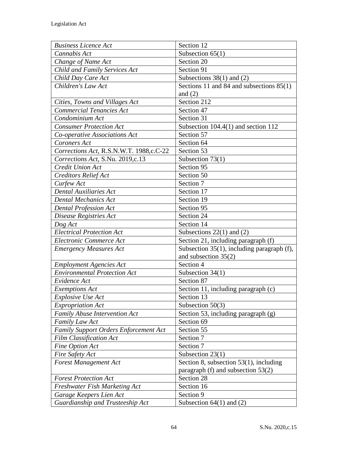| <b>Business Licence Act</b>             | Section 12                                    |
|-----------------------------------------|-----------------------------------------------|
| Cannabis Act                            | Subsection $65(1)$                            |
| Change of Name Act                      | Section 20                                    |
| Child and Family Services Act           | Section 91                                    |
| Child Day Care Act                      | Subsections $38(1)$ and $(2)$                 |
| Children's Law Act                      | Sections 11 and 84 and subsections 85(1)      |
|                                         | and $(2)$                                     |
| Cities, Towns and Villages Act          | Section 212                                   |
| <b>Commercial Tenancies Act</b>         | Section 47                                    |
| Condominium Act                         | Section 31                                    |
| <b>Consumer Protection Act</b>          | Subsection $104.4(1)$ and section $112$       |
| Co-operative Associations Act           | Section 57                                    |
| Coroners Act                            | Section 64                                    |
| Corrections Act, R.S.N.W.T. 1988,c.C-22 | Section 53                                    |
| Corrections Act, S.Nu. 2019,c.13        | Subsection $73(1)$                            |
| <b>Credit Union Act</b>                 | Section 95                                    |
| <b>Creditors Relief Act</b>             | Section 50                                    |
| Curfew Act                              | Section 7                                     |
| <b>Dental Auxiliaries Act</b>           | Section 17                                    |
| <b>Dental Mechanics Act</b>             | Section 19                                    |
| <b>Dental Profession Act</b>            | Section 95                                    |
| Disease Registries Act                  | Section 24                                    |
| Dog Act                                 | Section 14                                    |
| <b>Electrical Protection Act</b>        | Subsections $22(1)$ and $(2)$                 |
| Electronic Commerce Act                 | Section 21, including paragraph (f)           |
| <b>Emergency Measures Act</b>           | Subsection $35(1)$ , including paragraph (f), |
|                                         | and subsection $35(2)$                        |
| <b>Employment Agencies Act</b>          | Section 4                                     |
| <b>Environmental Protection Act</b>     | Subsection $34(1)$                            |
| Evidence Act                            | Section 87                                    |
| <b>Exemptions Act</b>                   | Section 11, including paragraph (c)           |
| <b>Explosive Use Act</b>                | Section 13                                    |
| <b>Expropriation Act</b>                | Subsection $50(3)$                            |
| <b>Family Abuse Intervention Act</b>    | Section 53, including paragraph (g)           |
| <b>Family Law Act</b>                   | Section 69                                    |
| Family Support Orders Enforcement Act   | Section 55                                    |
| <b>Film Classification Act</b>          | Section 7                                     |
| Fine Option Act                         | Section 7                                     |
| Fire Safety Act                         | Subsection $23(1)$                            |
| <b>Forest Management Act</b>            | Section 8, subsection $53(1)$ , including     |
|                                         | paragraph $(f)$ and subsection 53 $(2)$       |
| <b>Forest Protection Act</b>            | Section 28                                    |
| Freshwater Fish Marketing Act           | Section 16                                    |
| Garage Keepers Lien Act                 | Section 9                                     |
| Guardianship and Trusteeship Act        | Subsection $64(1)$ and $(2)$                  |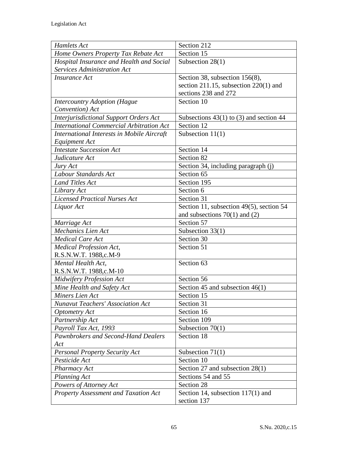| Hamlets Act                                     | Section 212                                 |
|-------------------------------------------------|---------------------------------------------|
| Home Owners Property Tax Rebate Act             | Section 15                                  |
| Hospital Insurance and Health and Social        | Subsection $28(1)$                          |
| Services Administration Act                     |                                             |
| <b>Insurance Act</b>                            | Section 38, subsection 156(8),              |
|                                                 | section 211.15, subsection $220(1)$ and     |
|                                                 | sections 238 and 272                        |
| <b>Intercountry Adoption (Hague</b>             | Section 10                                  |
| Convention) Act                                 |                                             |
| Interjurisdictional Support Orders Act          | Subsections $43(1)$ to (3) and section $44$ |
| <b>International Commercial Arbitration Act</b> | Section 12                                  |
| International Interests in Mobile Aircraft      | Subsection $11(1)$                          |
| Equipment Act                                   |                                             |
| <b>Intestate Succession Act</b>                 | Section 14                                  |
| Judicature Act                                  | Section 82                                  |
| Jury Act                                        | Section 34, including paragraph (j)         |
| Labour Standards Act                            | Section 65                                  |
| <b>Land Titles Act</b>                          | Section 195                                 |
| Library Act                                     | Section 6                                   |
| <b>Licensed Practical Nurses Act</b>            | Section 31                                  |
| Liquor Act                                      | Section 11, subsection 49(5), section 54    |
|                                                 | and subsections $70(1)$ and $(2)$           |
| Marriage Act                                    | Section 57                                  |
| <b>Mechanics Lien Act</b>                       | Subsection 33(1)                            |
| <b>Medical Care Act</b>                         | Section 30                                  |
| Medical Profession Act,                         | Section 51                                  |
| R.S.N.W.T. 1988,c.M-9                           |                                             |
| Mental Health Act,                              | Section 63                                  |
| R.S.N.W.T. 1988,c.M-10                          |                                             |
| <b>Midwifery Profession Act</b>                 | Section 56                                  |
| Mine Health and Safety Act                      | Section 45 and subsection $46(1)$           |
| Miners Lien Act                                 | Section 15                                  |
| <b>Nunavut Teachers' Association Act</b>        | Section 31                                  |
| <b>Optometry Act</b>                            | Section 16                                  |
| Partnership Act                                 | Section 109                                 |
| Payroll Tax Act, 1993                           | Subsection $70(1)$                          |
| Pawnbrokers and Second-Hand Dealers             | Section 18                                  |
| Act                                             |                                             |
| <b>Personal Property Security Act</b>           | Subsection $71(1)$                          |
| Pesticide Act                                   | Section 10                                  |
| Pharmacy Act                                    | Section 27 and subsection $28(1)$           |
| <b>Planning Act</b>                             | Sections 54 and 55                          |
| Powers of Attorney Act                          | Section 28                                  |
| <b>Property Assessment and Taxation Act</b>     | Section 14, subsection 117(1) and           |
|                                                 | section 137                                 |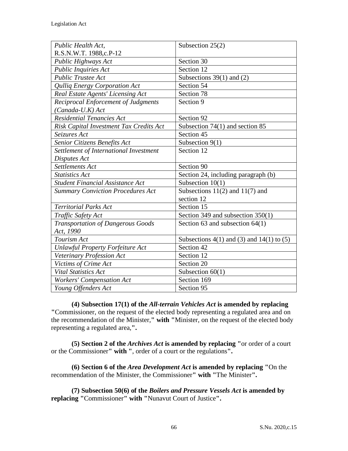| Public Health Act,                         | Subsection $25(2)$                                |
|--------------------------------------------|---------------------------------------------------|
| R.S.N.W.T. 1988,c.P-12                     |                                                   |
| Public Highways Act                        | Section 30                                        |
| <b>Public Inquiries Act</b>                | Section 12                                        |
| <b>Public Trustee Act</b>                  | Subsections $39(1)$ and (2)                       |
| Qulliq Energy Corporation Act              | Section 54                                        |
| Real Estate Agents' Licensing Act          | Section 78                                        |
| <b>Reciprocal Enforcement of Judgments</b> | Section 9                                         |
| $(Canada-U.K)$ Act                         |                                                   |
| <b>Residential Tenancies Act</b>           | Section 92                                        |
| Risk Capital Investment Tax Credits Act    | Subsection 74(1) and section 85                   |
| Seizures Act                               | Section 45                                        |
| Senior Citizens Benefits Act               | Subsection 9(1)                                   |
| Settlement of International Investment     | Section 12                                        |
| Disputes Act                               |                                                   |
| Settlements Act                            | Section 90                                        |
| <b>Statistics Act</b>                      | Section 24, including paragraph (b)               |
| <b>Student Financial Assistance Act</b>    | Subsection $10(1)$                                |
| <b>Summary Conviction Procedures Act</b>   | Subsections $11(2)$ and $11(7)$ and               |
|                                            | section 12                                        |
| <b>Territorial Parks Act</b>               | Section 15                                        |
| Traffic Safety Act                         | Section 349 and subsection 350(1)                 |
| <b>Transportation of Dangerous Goods</b>   | Section 63 and subsection $64(1)$                 |
| Act, 1990                                  |                                                   |
| Tourism Act                                | Subsections $4(1)$ and $(3)$ and $14(1)$ to $(5)$ |
| <b>Unlawful Property Forfeiture Act</b>    | Section 42                                        |
| Veterinary Profession Act                  | Section 12                                        |
| Victims of Crime Act                       | Section 20                                        |
| <b>Vital Statistics Act</b>                | Subsection $60(1)$                                |
| <b>Workers' Compensation Act</b>           | Section 169                                       |
| Young Offenders Act                        | Section 95                                        |

**(4) Subsection 17(1) of the** *All-terrain Vehicles Act* **is amended by replacing "**Commissioner, on the request of the elected body representing a regulated area and on the recommendation of the Minister,**" with "**Minister, on the request of the elected body representing a regulated area,**".**

**(5) Section 2 of the** *Archives Act* **is amended by replacing "**or order of a court or the Commissioner**" with "**, order of a court or the regulations**".**

**(6) Section 6 of the** *Area Development Act* **is amended by replacing "**On the recommendation of the Minister, the Commissioner**" with "**The Minister**".**

**(7) Subsection 50(6) of the** *Boilers and Pressure Vessels Act* **is amended by replacing "**Commissioner**" with "**Nunavut Court of Justice**".**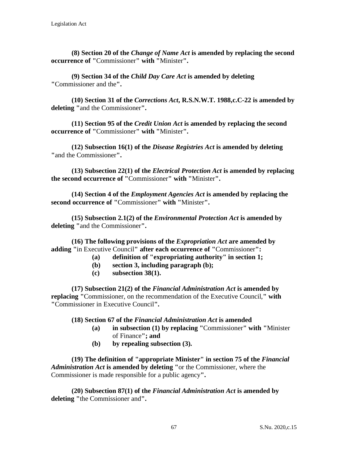**(8) Section 20 of the** *Change of Name Act* **is amended by replacing the second occurrence of "**Commissioner**" with "**Minister**".**

**(9) Section 34 of the** *Child Day Care Act* **is amended by deleting "**Commissioner and the**".**

**(10) Section 31 of the** *Corrections Act***, R.S.N.W.T. 1988,c.C-22 is amended by deleting "**and the Commissioner**".**

**(11) Section 95 of the** *Credit Union Act* **is amended by replacing the second occurrence of "**Commissioner**" with "**Minister**".**

**(12) Subsection 16(1) of the** *Disease Registries Act* **is amended by deleting "**and the Commissioner**".**

**(13) Subsection 22(1) of the** *Electrical Protection Act* **is amended by replacing the second occurrence of "**Commissioner**" with "**Minister**".**

**(14) Section 4 of the** *Employment Agencies Act* **is amended by replacing the second occurrence of "**Commissioner**" with "**Minister**".**

**(15) Subsection 2.1(2) of the** *Environmental Protection Act* **is amended by deleting "**and the Commissioner**".**

**(16) The following provisions of the** *Expropriation Act* **are amended by adding "**in Executive Council**" after each occurrence of "**Commissioner**":**

- **(a) definition of "expropriating authority" in section 1;**
- **(b) section 3, including paragraph (b);**
- **(c) subsection 38(1).**

**(17) Subsection 21(2) of the** *Financial Administration Act* **is amended by replacing "**Commissioner, on the recommendation of the Executive Council,**" with "**Commissioner in Executive Council**".**

**(18) Section 67 of the** *Financial Administration Act* **is amended**

- **(a) in subsection (1) by replacing "**Commissioner**" with "**Minister of Finance**"; and**
- **(b) by repealing subsection (3).**

**(19) The definition of "appropriate Minister" in section 75 of the** *Financial Administration Act* **is amended by deleting "**or the Commissioner, where the Commissioner is made responsible for a public agency**".**

**(20) Subsection 87(1) of the** *Financial Administration Act* **is amended by deleting "**the Commissioner and**".**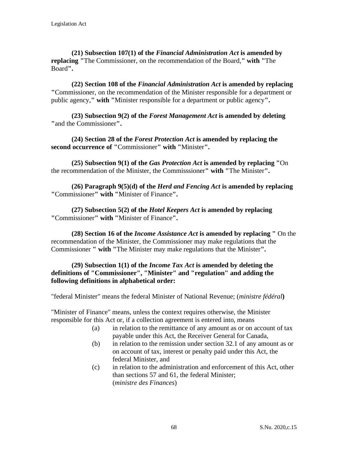**(21) Subsection 107(1) of the** *Financial Administration Act* **is amended by replacing "**The Commissioner, on the recommendation of the Board,**" with "**The Board**".**

**(22) Section 108 of the** *Financial Administration Act* **is amended by replacing "**Commissioner, on the recommendation of the Minister responsible for a department or public agency,**" with "**Minister responsible for a department or public agency**".**

**(23) Subsection 9(2) of the** *Forest Management Act* **is amended by deleting "**and the Commissioner**".**

**(24) Section 28 of the** *Forest Protection Act* **is amended by replacing the second occurrence of "**Commissioner**" with "**Minister**".**

**(25) Subsection 9(1) of the** *Gas Protection Act* **is amended by replacing "**On the recommendation of the Minister, the Commisssioner**" with "**The Minister**".**

**(26) Paragraph 9(5)(d) of the** *Herd and Fencing Act* **is amended by replacing "**Commissioner**" with "**Minister of Finance**".**

**(27) Subsection 5(2) of the** *Hotel Keepers Act* **is amended by replacing "**Commissioner**" with "**Minister of Finance**".**

**(28) Section 16 of the** *Income Assistance Act* **is amended by replacing "** On the recommendation of the Minister, the Commissioner may make regulations that the Commissioner **" with "**The Minister may make regulations that the Minister**".**

## **(29) Subsection 1(1) of the** *Income Tax Act* **is amended by deleting the definitions of "Commissioner", "Minister" and "regulation" and adding the following definitions in alphabetical order:**

"federal Minister" means the federal Minister of National Revenue; (*ministre fédéral***)**

"Minister of Finance" means, unless the context requires otherwise, the Minister responsible for this Act or, if a collection agreement is entered into, means

- (a) in relation to the remittance of any amount as or on account of tax payable under this Act, the Receiver General for Canada,
- (b) in relation to the remission under section 32.1 of any amount as or on account of tax, interest or penalty paid under this Act, the federal Minister, and
- (c) in relation to the administration and enforcement of this Act, other than sections 57 and 61, the federal Minister; (*ministre des Finances*)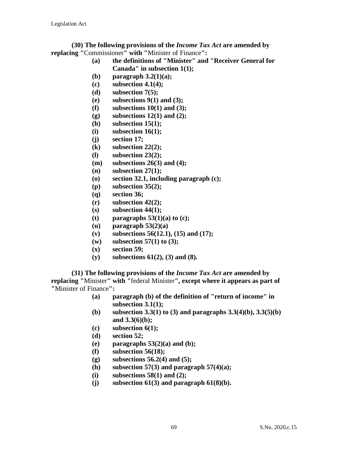**(30) The following provisions of the** *Income Tax Act* **are amended by replacing "**Commissioner**" with "**Minister of Finance**":**

- **(a) the definitions of "Minister" and "Receiver General for Canada" in subsection 1(1);**
- **(b) paragraph 3.2(1)(a);**
- **(c) subsection 4.1(4);**
- **(d) subsection 7(5);**
- **(e) subsections 9(1) and (3);**
- **(f) subsections 10(1) and (3);**
- **(g) subsections 12(1) and (2);**
- **(h) subsection 15(1);**
- **(i) subsection 16(1);**
- **(j) section 17;**
- **(k) subsection 22(2);**
- **(l) subsection 23(2);**
- **(m) subsections 26(3) and (4);**
- **(n) subsection 27(1);**
- **(o) section 32.1, including paragraph (c);**
- **(p) subsection 35(2);**
- **(q) section 36;**
- **(r) subsection 42(2);**
- **(s) subsection 44(1);**
- **(t) paragraphs 53(1)(a) to (c);**
- **(u) paragraph 53(2)(a)**
- **(v) subsections 56(12.1), (15) and (17);**
- **(w) subsection 57(1) to (3);**
- **(x) section 59;**
- **(y) subsections 61(2), (3) and (8).**

**(31) The following provisions of the** *Income Tax Act* **are amended by replacing "**Minister**" with "**federal Minister**", except where it appears as part of "**Minister of Finance**":**

- **(a) paragraph (b) of the definition of "return of income" in subsection 3.1(1);**
- **(b) subsection 3.3(1) to (3) and paragraphs 3.3(4)(b), 3.3(5)(b) and 3.3(6)(b);**
- **(c) subsection 6(1);**
- **(d) section 52;**
- **(e) paragraphs 53(2)(a) and (b);**
- **(f) subsection 56(18);**
- **(g) subsections 56.2(4) and (5);**
- **(h) subsection 57(3) and paragraph 57(4)(a);**
- **(i) subsections 58(1) and (2);**
- **(j) subsection 61(3) and paragraph 61(8)(b).**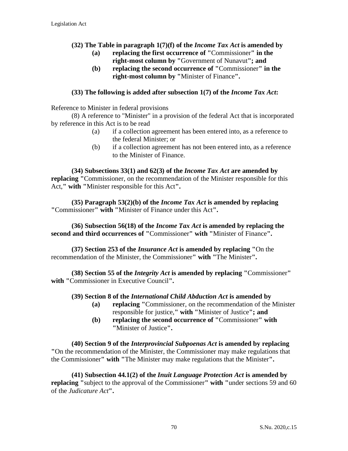## **(32) The Table in paragraph 1(7)(f) of the** *Income Tax Act* **is amended by**

- **(a) replacing the first occurrence of "**Commissioner**" in the right-most column by "**Government of Nunavut**"; and**
- **(b) replacing the second occurrence of "**Commissioner**" in the right-most column by "**Minister of Finance**".**

## **(33) The following is added after subsection 1(7) of the** *Income Tax Act***:**

Reference to Minister in federal provisions

(8) A reference to "Minister" in a provision of the federal Act that is incorporated by reference in this Act is to be read

- (a) if a collection agreement has been entered into, as a reference to the federal Minister; or
- (b) if a collection agreement has not been entered into, as a reference to the Minister of Finance.

**(34) Subsections 33(1) and 62(3) of the** *Income Tax Act* **are amended by replacing "**Commissioner, on the recommendation of the Minister responsible for this Act,**" with "**Minister responsible for this Act**".**

**(35) Paragraph 53(2)(b) of the** *Income Tax Act* **is amended by replacing "**Commissioner**" with "**Minister of Finance under this Act**".**

**(36) Subsection 56(18) of the** *Income Tax Act* **is amended by replacing the second and third occurrences of "**Commissioner**" with "**Minister of Finance**".**

**(37) Section 253 of the** *Insurance Act* **is amended by replacing "**On the recommendation of the Minister, the Commissioner**" with "**The Minister**".**

**(38) Section 55 of the** *Integrity Act* **is amended by replacing "**Commissioner**" with "**Commissioner in Executive Council**".**

## **(39) Section 8 of the** *International Child Abduction Act* **is amended by**

- **(a) replacing "**Commissioner, on the recommendation of the Minister responsible for justice,**" with "**Minister of Justice**"; and**
- **(b) replacing the second occurrence of "**Commissioner**" with "**Minister of Justice**".**

**(40) Section 9 of the** *Interprovincial Subpoenas Act* **is amended by replacing "**On the recommendation of the Minister, the Commissioner may make regulations that the Commissioner**" with "**The Minister may make regulations that the Minister**".**

**(41) Subsection 44.1(2) of the** *Inuit Language Protection Act* **is amended by replacing "**subject to the approval of the Commissioner**" with "**under sections 59 and 60 of the *Judicature Act***".**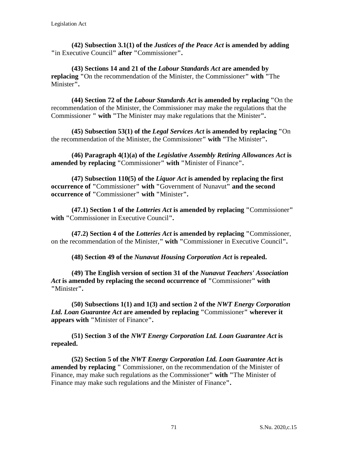**(42) Subsection 3.1(1) of the** *Justices of the Peace Act* **is amended by adding "**in Executive Council**" after "**Commissioner**".**

**(43) Sections 14 and 21 of the** *Labour Standards Act* **are amended by replacing "**On the recommendation of the Minister, the Commissioner**" with "**The Minister**".**

**(44) Section 72 of the** *Labour Standards Act* **is amended by replacing "**On the recommendation of the Minister, the Commissioner may make the regulations that the Commissioner **" with "**The Minister may make regulations that the Minister**".**

**(45) Subsection 53(1) of the** *Legal Services Act* **is amended by replacing "**On the recommendation of the Minister, the Commissioner**" with "**The Minister**".**

**(46) Paragraph 4(1)(a) of the** *Legislative Assembly Retiring Allowances Act* **is amended by replacing "**Commissioner**" with "**Minister of Finance**".**

**(47) Subsection 110(5) of the** *Liquor Act* **is amended by replacing the first occurrence of "**Commissioner**" with "**Government of Nunavut**" and the second occurrence of "**Commissioner**" with "**Minister**".**

**(47.1) Section 1 of the** *Lotteries Act* **is amended by replacing "**Commissioner**" with "**Commissioner in Executive Council**".**

**(47.2) Section 4 of the** *Lotteries Act* **is amended by replacing "**Commissioner, on the recommendation of the Minister,**" with "**Commissioner in Executive Council**".**

**(48) Section 49 of the** *Nunavut Housing Corporation Act* **is repealed.**

**(49) The English version of section 31 of the** *Nunavut Teachers' Association Act* **is amended by replacing the second occurrence of "**Commissioner**" with "**Minister**".**

**(50) Subsections 1(1) and 1(3) and section 2 of the** *NWT Energy Corporation Ltd. Loan Guarantee Act* **are amended by replacing "**Commissioner**" wherever it appears with "**Minister of Finance**".**

**(51) Section 3 of the** *NWT Energy Corporation Ltd. Loan Guarantee Act* **is repealed.**

**(52) Section 5 of the** *NWT Energy Corporation Ltd. Loan Guarantee Act* **is amended by replacing "** Commissioner, on the recommendation of the Minister of Finance, may make such regulations as the Commissioner**" with "**The Minister of Finance may make such regulations and the Minister of Finance**".**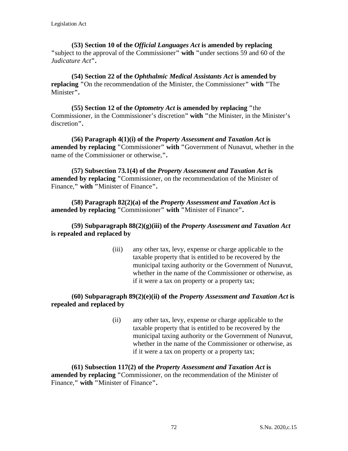**(53) Section 10 of the** *Official Languages Act* **is amended by replacing "**subject to the approval of the Commissioner**" with "**under sections 59 and 60 of the *Judicature Act***".**

**(54) Section 22 of the** *Ophthalmic Medical Assistants Act* **is amended by replacing "**On the recommendation of the Minister, the Commissioner**" with "**The Minister**".**

**(55) Section 12 of the** *Optometry Act* **is amended by replacing "**the Commissioner, in the Commissioner's discretion**" with "**the Minister, in the Minister's discretion**".**

**(56) Paragraph 4(1)(i) of the** *Property Assessment and Taxation Act* **is amended by replacing "**Commissioner**" with "**Government of Nunavut, whether in the name of the Commissioner or otherwise,**".**

**(57) Subsection 73.1(4) of the** *Property Assessment and Taxation Act* **is amended by replacing "**Commissioner, on the recommendation of the Minister of Finance,**" with "**Minister of Finance**".**

**(58) Paragraph 82(2)(a) of the** *Property Assessment and Taxation Act* **is amended by replacing "**Commissioner**" with "**Minister of Finance**".**

## **(59) Subparagraph 88(2)(g)(iii) of the** *Property Assessment and Taxation Act* **is repealed and replaced by**

(iii) any other tax, levy, expense or charge applicable to the taxable property that is entitled to be recovered by the municipal taxing authority or the Government of Nunavut, whether in the name of the Commissioner or otherwise, as if it were a tax on property or a property tax;

## **(60) Subparagraph 89(2)(e)(ii) of the** *Property Assessment and Taxation Act* **is repealed and replaced by**

(ii) any other tax, levy, expense or charge applicable to the taxable property that is entitled to be recovered by the municipal taxing authority or the Government of Nunavut, whether in the name of the Commissioner or otherwise, as if it were a tax on property or a property tax;

**(61) Subsection 117(2) of the** *Property Assessment and Taxation Act* **is amended by replacing "**Commissioner, on the recommendation of the Minister of Finance,**" with "**Minister of Finance**".**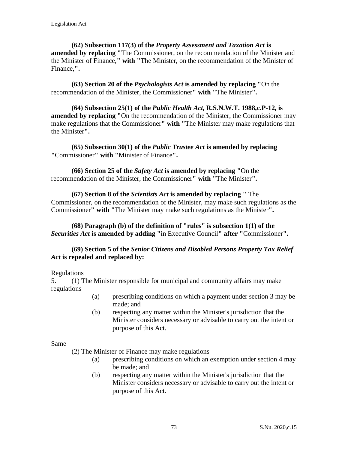**(62) Subsection 117(3) of the** *Property Assessment and Taxation Act* **is amended by replacing "**The Commissioner, on the recommendation of the Minister and the Minister of Finance,**" with "**The Minister, on the recommendation of the Minister of Finance,**".**

**(63) Section 20 of the** *Psychologists Act* **is amended by replacing "**On the recommendation of the Minister, the Commissioner**" with "**The Minister**".**

**(64) Subsection 25(1) of the** *Public Health Act,* **R.S.N.W.T. 1988,c.P-12, is amended by replacing "**On the recommendation of the Minister, the Commissioner may make regulations that the Commissioner**" with "**The Minister may make regulations that the Minister**".**

**(65) Subsection 30(1) of the** *Public Trustee Act* **is amended by replacing "**Commissioner**" with "**Minister of Finance**".**

**(66) Section 25 of the** *Safety Act* **is amended by replacing "**On the recommendation of the Minister, the Commissioner**" with "**The Minister**".**

**(67) Section 8 of the** *Scientists Act* **is amended by replacing "** The Commissioner, on the recommendation of the Minister, may make such regulations as the Commissioner**" with "**The Minister may make such regulations as the Minister**".**

**(68) Paragraph (b) of the definition of "rules" is subsection 1(1) of the**  *Securities Act* **is amended by adding "**in Executive Council**" after "**Commissioner**".**

#### **(69) Section 5 of the** *Senior Citizens and Disabled Persons Property Tax Relief Act* **is repealed and replaced by:**

#### Regulations

5. (1) The Minister responsible for municipal and community affairs may make regulations

- (a) prescribing conditions on which a payment under section 3 may be made; and
- (b) respecting any matter within the Minister's jurisdiction that the Minister considers necessary or advisable to carry out the intent or purpose of this Act.

Same

(2) The Minister of Finance may make regulations

- (a) prescribing conditions on which an exemption under section 4 may be made; and
- (b) respecting any matter within the Minister's jurisdiction that the Minister considers necessary or advisable to carry out the intent or purpose of this Act.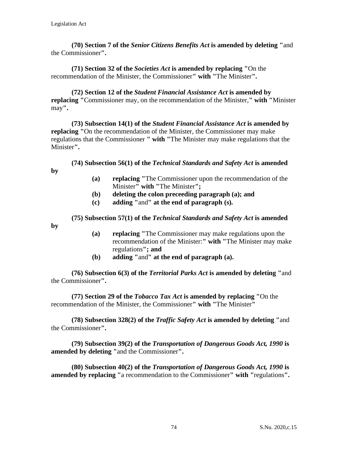**(70) Section 7 of the** *Senior Citizens Benefits Act* **is amended by deleting "**and the Commissioner**".**

**(71) Section 32 of the** *Societies Act* **is amended by replacing "**On the recommendation of the Minister, the Commissioner**" with "**The Minister**".**

**(72) Section 12 of the** *Student Financial Assistance Act* **is amended by replacing "**Commissioner may, on the recommendation of the Minister,**" with "**Minister may**".**

**(73) Subsection 14(1) of the** *Student Financial Assistance Act* **is amended by replacing "**On the recommendation of the Minister, the Commissioner may make regulations that the Commissioner **" with "**The Minister may make regulations that the Minister**".**

**(74) Subsection 56(1) of the** *Technical Standards and Safety Act* **is amended** 

**by**

- **(a) replacing "**The Commissioner upon the recommendation of the Minister**" with "**The Minister**";**
- **(b) deleting the colon preceeding paragraph (a); and**
- **(c) adding "**and**" at the end of paragraph (s).**

**(75) Subsection 57(1) of the** *Technical Standards and Safety Act* **is amended** 

**by**

- **(a) replacing "**The Commissioner may make regulations upon the recommendation of the Minister:**" with "**The Minister may make regulations**"; and**
- **(b) adding "**and**" at the end of paragraph (a).**

**(76) Subsection 6(3) of the** *Territorial Parks Act* **is amended by deleting "**and the Commissioner**".**

**(77) Section 29 of the** *Tobacco Tax Act* **is amended by replacing "**On the recommendation of the Minister, the Commissioner**" with "**The Minister**"**

**(78) Subsection 328(2) of the** *Traffic Safety Act* **is amended by deleting "**and the Commissioner**".**

**(79) Subsection 39(2) of the** *Transportation of Dangerous Goods Act, 1990* **is amended by deleting "**and the Commissioner**".**

**(80) Subsection 40(2) of the** *Transportation of Dangerous Goods Act, 1990* **is amended by replacing "**a recommendation to the Commissioner**" with "**regulations**".**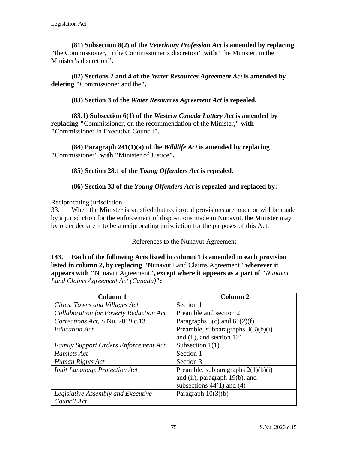**(81) Subsection 8(2) of the** *Veterinary Profession Act* **is amended by replacing "**the Commissioner, in the Commissioner's discretion**" with "**the Minister, in the Minister's discretion**".**

**(82) Sections 2 and 4 of the** *Water Resources Agreement Act* **is amended by deleting "**Commissioner and the**".**

**(83) Section 3 of the** *Water Resources Agreement Act* **is repealed.**

**(83.1) Subsection 6(1) of the** *Western Canada Lottery Act* **is amended by replacing "**Commissioner, on the recommendation of the Minister,**" with "**Commissioner in Executive Council**".**

**(84) Paragraph 241(1)(a) of the** *Wildlife Act* **is amended by replacing "**Commissioner**" with "**Minister of Justice**".**

**(85) Section 28.1 of the** *Young Offenders Act* **is repealed.**

**(86) Section 33 of the** *Young Offenders Act* **is repealed and replaced by:**

Reciprocating jurisdiction

33. When the Minister is satisfied that reciprocal provisions are made or will be made by a jurisdiction for the enforcement of dispositions made in Nunavut, the Minister may by order declare it to be a reciprocating jurisdiction for the purposes of this Act.

References to the Nunavut Agreement

**143. Each of the following Acts listed in column 1 is amended in each provision listed in column 2, by replacing "**Nunavut Land Claims Agreement**" wherever it appears with "**Nunavut Agreement**", except where it appears as a part of "***Nunavut Land Claims Agreement Act (Canada)***":**

| Column 1                                     | Column 2                             |
|----------------------------------------------|--------------------------------------|
| Cities, Towns and Villages Act               | Section 1                            |
| Collaboration for Poverty Reduction Act      | Preamble and section 2               |
| Corrections Act, S.Nu. 2019,c.13             | Paragraphs $3(c)$ and $61(2)(f)$     |
| <b>Education Act</b>                         | Preamble, subparagraphs $3(3)(b)(i)$ |
|                                              | and (ii), and section 121            |
| <b>Family Support Orders Enforcement Act</b> | Subsection $1(1)$                    |
| Hamlets Act                                  | Section 1                            |
| Human Rights Act                             | Section 3                            |
| <b>Inuit Language Protection Act</b>         | Preamble, subparagraphs $2(1)(b)(i)$ |
|                                              | and (ii), paragraph 19(b), and       |
|                                              | subsections $44(1)$ and $(4)$        |
| Legislative Assembly and Executive           | Paragraph $10(3)(b)$                 |
| Council Act                                  |                                      |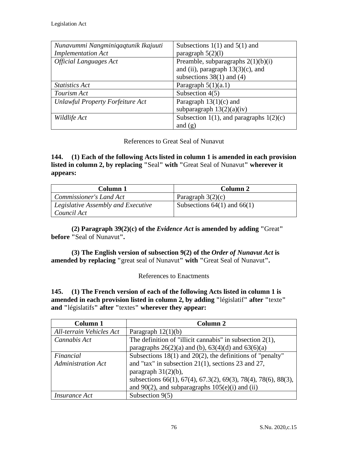| Nunavummi Nangminiqaqtunik Ikajuuti | Subsections $1(1)$ and $5(1)$ and         |
|-------------------------------------|-------------------------------------------|
| <b>Implementation Act</b>           | paragraph $5(2)(1)$                       |
| <b>Official Languages Act</b>       | Preamble, subparagraphs $2(1)(b)(i)$      |
|                                     | and (ii), paragraph $13(3)(c)$ , and      |
|                                     | subsections $38(1)$ and (4)               |
| Statistics Act                      | Paragraph $5(1)(a.1)$                     |
| Tourism Act                         | Subsection $4(5)$                         |
| Unlawful Property Forfeiture Act    | Paragraph $13(1)(c)$ and                  |
|                                     | subparagraph $13(2)(a)(iv)$               |
| Wildlife Act                        | Subsection 1(1), and paragraphs $1(2)(c)$ |
|                                     | and $(g)$                                 |

References to Great Seal of Nunavut

**144. (1) Each of the following Acts listed in column 1 is amended in each provision listed in column 2, by replacing "**Seal**" with "**Great Seal of Nunavut**" wherever it appears:**

| Column 1                           | Column 2                        |
|------------------------------------|---------------------------------|
| Commissioner's Land Act            | Paragraph $3(2)(c)$             |
| Legislative Assembly and Executive | Subsections $64(1)$ and $66(1)$ |
| Council Act                        |                                 |

**(2) Paragraph 39(2)(c) of the** *Evidence Act* **is amended by adding "**Great**" before "**Seal of Nunavut**".**

**(3) The English version of subsection 9(2) of the** *Order of Nunavut Act* **is amended by replacing "**great seal of Nunavut**" with "**Great Seal of Nunavut**".**

References to Enactments

**145. (1) The French version of each of the following Acts listed in column 1 is amended in each provision listed in column 2, by adding "**législatif**" after "**texte**" and "**législatifs**" after "**textes**" wherever they appear:**

| <b>Column 1</b>           | Column 2                                                       |
|---------------------------|----------------------------------------------------------------|
| All-terrain Vehicles Act  | Paragraph $12(1)(b)$                                           |
| Cannabis Act              | The definition of "illicit cannabis" in subsection $2(1)$ ,    |
|                           | paragraphs $26(2)(a)$ and (b), $63(4)(d)$ and $63(6)(a)$       |
| Financial                 | Subsections $18(1)$ and $20(2)$ , the definitions of "penalty" |
| <b>Administration Act</b> | and "tax" in subsection $21(1)$ , sections 23 and 27,          |
|                           | paragraph $31(2)(b)$ ,                                         |
|                           | subsections 66(1), 67(4), 67.3(2), 69(3), 78(4), 78(6), 88(3), |
|                           | and $90(2)$ , and subparagraphs $105(e)(i)$ and (ii)           |
| <i>Insurance Act</i>      | Subsection $9(5)$                                              |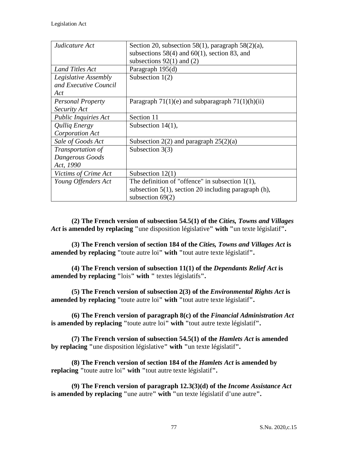| Judicature Act           | Section 20, subsection 58(1), paragraph $58(2)(a)$ ,       |
|--------------------------|------------------------------------------------------------|
|                          | subsections $58(4)$ and $60(1)$ , section 83, and          |
|                          | subsections $92(1)$ and (2)                                |
| Land Titles Act          | Paragraph 195(d)                                           |
| Legislative Assembly     | Subsection $1(2)$                                          |
| and Executive Council    |                                                            |
| Act                      |                                                            |
| <b>Personal Property</b> | Paragraph $71(1)(e)$ and subparagraph $71(1)(h)(ii)$       |
| Security Act             |                                                            |
| Public Inquiries Act     | Section 11                                                 |
| <b>Quilig Energy</b>     | Subsection $14(1)$ ,                                       |
| Corporation Act          |                                                            |
| Sale of Goods Act        | Subsection $2(2)$ and paragraph $25(2)(a)$                 |
| Transportation of        | Subsection $3(3)$                                          |
| Dangerous Goods          |                                                            |
| Act, 1990                |                                                            |
| Victims of Crime Act     | Subsection $12(1)$                                         |
| Young Offenders Act      | The definition of "offence" in subsection $1(1)$ ,         |
|                          | subsection $5(1)$ , section 20 including paragraph $(h)$ , |
|                          | subsection $69(2)$                                         |

**(2) The French version of subsection 54.5(1) of the** *Cities, Towns and Villages Act* **is amended by replacing "**une disposition législative**" with "**un texte législatif**".**

**(3) The French version of section 184 of the** *Cities, Towns and Villages Act* **is amended by replacing "**toute autre loi**" with "**tout autre texte législatif**".**

**(4) The French version of subsection 11(1) of the** *Dependants Relief Act* **is amended by replacing "**lois**" with "** textes législatifs**".**

**(5) The French version of subsection 2(3) of the** *Environmental Rights Act* **is amended by replacing "**toute autre loi**" with "**tout autre texte législatif**".**

**(6) The French version of paragraph 8(c) of the** *Financial Administration Act* **is amended by replacing "**toute autre loi**" with "**tout autre texte législatif**".**

**(7) The French version of subsection 54.5(1) of the** *Hamlets Act* **is amended by replacing "**une disposition législative**" with "**un texte législatif**".**

**(8) The French version of section 184 of the** *Hamlets Act* **is amended by replacing "**toute autre loi**" with "**tout autre texte législatif**".**

**(9) The French version of paragraph 12.3(3)(d) of the** *Income Assistance Act* **is amended by replacing "**une autre**" with "**un texte législatif d'une autre**".**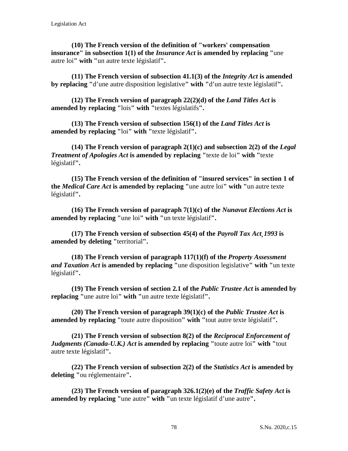**(10) The French version of the definition of "workers' compensation insurance" in subsection 1(1) of the** *Insurance Act* **is amended by replacing "**une autre loi**" with "**un autre texte législatif**".**

**(11) The French version of subsection 41.1(3) of the** *Integrity Act* **is amended by replacing "**d'une autre disposition legislative**" with "**d'un autre texte législatif**".**

**(12) The French version of paragraph 22(2)(d) of the** *Land Titles Act* **is amended by replacing "**lois**" with "**textes législatifs**".**

**(13) The French version of subsection 156(1) of the** *Land Titles Act* **is amended by replacing "**loi**" with "**texte législatif**".**

**(14) The French version of paragraph 2(1)(c) and subsection 2(2) of the** *Legal Treatment of Apologies Act* **is amended by replacing "**texte de loi**" with "**texte législatif**".**

**(15) The French version of the definition of "insured services" in section 1 of the** *Medical Care Act* **is amended by replacing "**une autre loi**" with "**un autre texte législatif**".**

**(16) The French version of paragraph 7(1)(c) of the** *Nunavut Elections Act* **is amended by replacing "**une loi**" with "**un texte législatif**".**

**(17) The French version of subsection 45(4) of the** *Payroll Tax Act¸1993* **is amended by deleting "**territorial**".**

**(18) The French version of paragraph 117(1)(f) of the** *Property Assessment and Taxation Act* **is amended by replacing "**une disposition legislative**" with "**un texte législatif**".**

**(19) The French version of section 2.1 of the** *Public Trustee Act* **is amended by replacing "**une autre loi**" with "**un autre texte législatif**".**

**(20) The French version of paragraph 39(1)(c) of the** *Public Trustee Act* **is amended by replacing "**toute autre disposition**" with "**tout autre texte législatif**".**

**(21) The French version of subsection 8(2) of the** *Reciprocal Enforcement of Judgments (Canada-U.K.) Act* **is amended by replacing "**toute autre loi**" with "**tout autre texte législatif**".**

**(22) The French version of subsection 2(2) of the** *Statistics Act* **is amended by deleting "**ou réglementaire**".** 

**(23) The French version of paragraph 326.1(2)(e) of the** *Traffic Safety Act* **is amended by replacing "**une autre**" with "**un texte législatif d'une autre**".**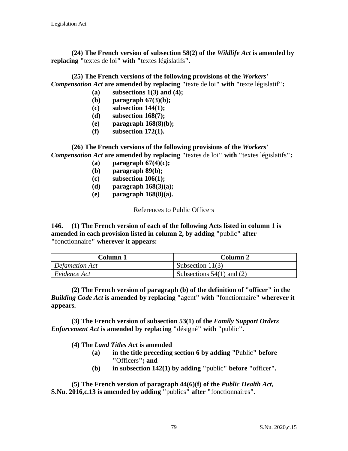**(24) The French version of subsection 58(2) of the** *Wildlife Act* **is amended by replacing "**textes de loi**" with "**textes législatifs**".**

**(25) The French versions of the following provisions of the** *Workers' Compensation Act* **are amended by replacing "**texte de loi**" with "**texte législatif**":**

- **(a) subsections 1(3) and (4);**
- **(b) paragraph 67(3)(b); (c) subsection 144(1);**
- **(d) subsection 168(7);**
- **(e) paragraph 168(8)(b);**
- **(f) subsection 172(1).**

**(26) The French versions of the following provisions of the** *Workers' Compensation Act* **are amended by replacing "**textes de loi**" with "**textes législatifs**":**

- **(a) paragraph 67(4)(c);**
- **(b) paragraph 89(b);**
- **(c) subsection 106(1);**
- **(d) paragraph 168(3)(a);**
- **(e) paragraph 168(8)(a).**

References to Public Officers

**146. (1) The French version of each of the following Acts listed in column 1 is amended in each provision listed in column 2, by adding "**public**" after "**fonctionnaire**" wherever it appears:**

| Column 1            | Column 2                      |
|---------------------|-------------------------------|
| Defamation Act      | Subsection $11(3)$            |
| $\mid$ Evidence Act | Subsections $54(1)$ and $(2)$ |

**(2) The French version of paragraph (b) of the definition of "officer" in the**  *Building Code Act* **is amended by replacing "**agent**" with "**fonctionnaire**" wherever it appears.**

**(3) The French version of subsection 53(1) of the** *Family Support Orders Enforcement Act* **is amended by replacing "**désigné**" with "**public**".**

**(4) The** *Land Titles Act* **is amended**

- **(a) in the title preceding section 6 by adding "**Public**" before "**Officers**"; and**
- **(b) in subsection 142(1) by adding "**public**" before "**officer**".**

**(5) The French version of paragraph 44(6)(f) of the** *Public Health Act***, S.Nu. 2016,c.13 is amended by adding "**publics**" after "**fonctionnaires**".**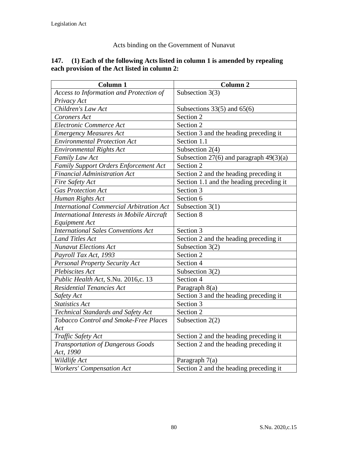# Acts binding on the Government of Nunavut

#### **147. (1) Each of the following Acts listed in column 1 is amended by repealing each provision of the Act listed in column 2:**

| <b>Column 1</b>                                 | <b>Column 2</b>                           |
|-------------------------------------------------|-------------------------------------------|
| Access to Information and Protection of         | Subsection 3(3)                           |
| Privacy Act                                     |                                           |
| Children's Law Act                              | Subsections $33(5)$ and $65(6)$           |
| Coroners Act                                    | Section 2                                 |
| Electronic Commerce Act                         | Section 2                                 |
| <b>Emergency Measures Act</b>                   | Section 3 and the heading preceding it    |
| <b>Environmental Protection Act</b>             | Section 1.1                               |
| <b>Environmental Rights Act</b>                 | Subsection $2(4)$                         |
| Family Law Act                                  | Subsection 27(6) and paragraph $49(3)(a)$ |
| Family Support Orders Enforcement Act           | Section 2                                 |
| <b>Financial Administration Act</b>             | Section 2 and the heading preceding it    |
| Fire Safety Act                                 | Section 1.1 and the heading preceding it  |
| <b>Gas Protection Act</b>                       | Section 3                                 |
| Human Rights Act                                | Section 6                                 |
| <b>International Commercial Arbitration Act</b> | Subsection $3(1)$                         |
| International Interests in Mobile Aircraft      | Section 8                                 |
| <b>Equipment Act</b>                            |                                           |
| <b>International Sales Conventions Act</b>      | Section 3                                 |
| <b>Land Titles Act</b>                          | Section 2 and the heading preceding it    |
| <b>Nunavut Elections Act</b>                    | Subsection $3(2)$                         |
| Payroll Tax Act, 1993                           | Section 2                                 |
| Personal Property Security Act                  | Section 4                                 |
| Plebiscites Act                                 | Subsection 3(2)                           |
| Public Health Act, S.Nu. 2016,c. 13             | Section 4                                 |
| <b>Residential Tenancies Act</b>                | Paragraph 8(a)                            |
| Safety Act                                      | Section 3 and the heading preceding it    |
| <b>Statistics Act</b>                           | Section 3                                 |
| Technical Standards and Safety Act              | Section 2                                 |
| Tobacco Control and Smoke-Free Places           | Subsection $2(2)$                         |
| Act                                             |                                           |
| Traffic Safety Act                              | Section 2 and the heading preceding it    |
| Transportation of Dangerous Goods               | Section 2 and the heading preceding it    |
| Act, 1990                                       |                                           |
| Wildlife Act                                    | Paragraph 7(a)                            |
| <b>Workers' Compensation Act</b>                | Section 2 and the heading preceding it    |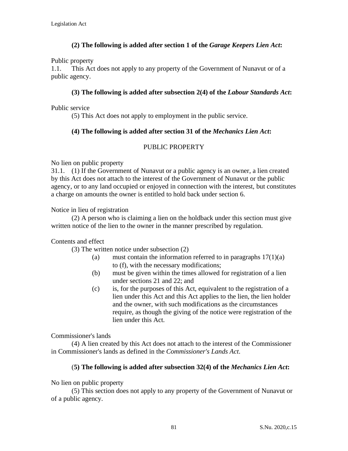# **(2) The following is added after section 1 of the** *Garage Keepers Lien Act***:**

Public property

1.1. This Act does not apply to any property of the Government of Nunavut or of a public agency.

#### **(3) The following is added after subsection 2(4) of the** *Labour Standards Act***:**

Public service

(5) This Act does not apply to employment in the public service.

# **(4) The following is added after section 31 of the** *Mechanics Lien Act***:**

# PUBLIC PROPERTY

No lien on public property

31.1. (1) If the Government of Nunavut or a public agency is an owner, a lien created by this Act does not attach to the interest of the Government of Nunavut or the public agency, or to any land occupied or enjoyed in connection with the interest, but constitutes a charge on amounts the owner is entitled to hold back under section 6.

Notice in lieu of registration

(2) A person who is claiming a lien on the holdback under this section must give written notice of the lien to the owner in the manner prescribed by regulation.

#### Contents and effect

(3) The written notice under subsection (2)

- (a) must contain the information referred to in paragraphs  $17(1)(a)$ to (f), with the necessary modifications;
- (b) must be given within the times allowed for registration of a lien under sections 21 and 22; and
- (c) is, for the purposes of this Act, equivalent to the registration of a lien under this Act and this Act applies to the lien, the lien holder and the owner, with such modifications as the circumstances require, as though the giving of the notice were registration of the lien under this Act.

Commissioner's lands

(4) A lien created by this Act does not attach to the interest of the Commissioner in Commissioner's lands as defined in the *Commissioner's Lands Act*.

#### (**5) The following is added after subsection 32(4) of the** *Mechanics Lien Act***:**

No lien on public property

(5) This section does not apply to any property of the Government of Nunavut or of a public agency.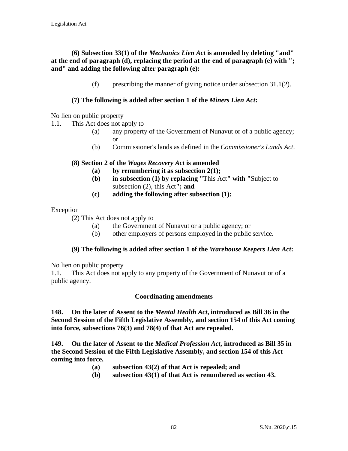## **(6) Subsection 33(1) of the** *Mechanics Lien Act* **is amended by deleting "and" at the end of paragraph (d), replacing the period at the end of paragraph (e) with "; and" and adding the following after paragraph (e):**

(f) prescribing the manner of giving notice under subsection 31.1(2).

# **(7) The following is added after section 1 of the** *Miners Lien Act***:**

No lien on public property

- 1.1. This Act does not apply to
	- (a) any property of the Government of Nunavut or of a public agency; or
	- (b) Commissioner's lands as defined in the *Commissioner's Lands Act*.

#### **(8) Section 2 of the** *Wages Recovery Act* **is amended**

- **(a) by renumbering it as subsection 2(1);**
- **(b) in subsection (1) by replacing "**This Act**" with "**Subject to subsection (2), this Act**"; and**
- **(c) adding the following after subsection (1):**

# Exception

- (2) This Act does not apply to
	- (a) the Government of Nunavut or a public agency; or
	- (b) other employers of persons employed in the public service.

# **(9) The following is added after section 1 of the** *Warehouse Keepers Lien Act***:**

No lien on public property

1.1. This Act does not apply to any property of the Government of Nunavut or of a public agency.

# **Coordinating amendments**

**148. On the later of Assent to the** *Mental Health Act***, introduced as Bill 36 in the Second Session of the Fifth Legislative Assembly, and section 154 of this Act coming into force, subsections 76(3) and 78(4) of that Act are repealed.**

**149. On the later of Assent to the** *Medical Profession Act***, introduced as Bill 35 in the Second Session of the Fifth Legislative Assembly, and section 154 of this Act coming into force,**

- **(a) subsection 43(2) of that Act is repealed; and**
- **(b) subsection 43(1) of that Act is renumbered as section 43.**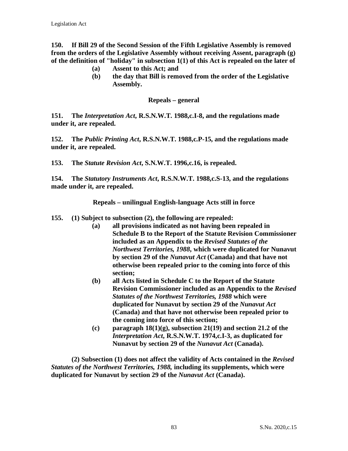**150. If Bill 29 of the Second Session of the Fifth Legislative Assembly is removed from the orders of the Legislative Assembly without receiving Assent, paragraph (g) of the definition of "holiday" in subsection 1(1) of this Act is repealed on the later of**

- **(a) Assent to this Act; and**
- **(b) the day that Bill is removed from the order of the Legislative Assembly.**

**Repeals – general**

**151. The** *Interpretation Act***, R.S.N.W.T. 1988,c.I-8, and the regulations made under it, are repealed.** 

**152. The** *Public Printing Act***, R.S.N.W.T. 1988,c.P-15, and the regulations made under it, are repealed.**

**153. The** *Statute Revision Act***, S.N.W.T. 1996,c.16, is repealed.**

**154. The** *Statutory Instruments Act***, R.S.N.W.T. 1988,c.S-13, and the regulations made under it, are repealed.**

**Repeals – unilingual English-language Acts still in force**

- **155. (1) Subject to subsection (2), the following are repealed:**
	- **(a) all provisions indicated as not having been repealed in Schedule B to the Report of the Statute Revision Commissioner included as an Appendix to the** *Revised Statutes of the Northwest Territories, 1988***, which were duplicated for Nunavut by section 29 of the** *Nunavut Act* **(Canada) and that have not otherwise been repealed prior to the coming into force of this section;**
	- **(b) all Acts listed in Schedule C to the Report of the Statute Revision Commissioner included as an Appendix to the** *Revised Statutes of the Northwest Territories, 1988* **which were duplicated for Nunavut by section 29 of the** *Nunavut Act* **(Canada) and that have not otherwise been repealed prior to the coming into force of this section;**
	- **(c) paragraph 18(1)(g), subsection 21(19) and section 21.2 of the**  *Interpretation Act***, R.S.N.W.T. 1974,c.I-3, as duplicated for Nunavut by section 29 of the** *Nunavut Act* **(Canada).**

**(2) Subsection (1) does not affect the validity of Acts contained in the** *Revised Statutes of the Northwest Territories, 1988,* **including its supplements, which were duplicated for Nunavut by section 29 of the** *Nunavut Act* **(Canada).**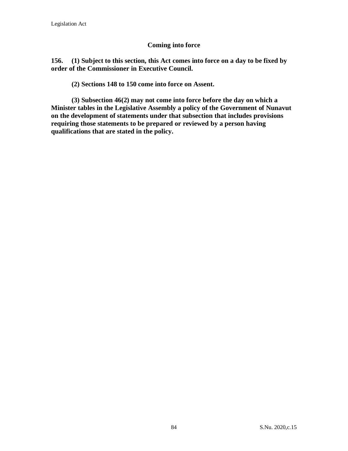#### **Coming into force**

**156. (1) Subject to this section, this Act comes into force on a day to be fixed by order of the Commissioner in Executive Council.**

**(2) Sections 148 to 150 come into force on Assent.**

**(3) Subsection 46(2) may not come into force before the day on which a Minister tables in the Legislative Assembly a policy of the Government of Nunavut on the development of statements under that subsection that includes provisions requiring those statements to be prepared or reviewed by a person having qualifications that are stated in the policy.**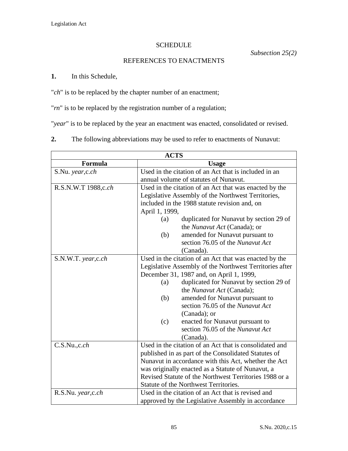# SCHEDULE

*Subsection 25(2)*

# REFERENCES TO ENACTMENTS

# **1.** In this Schedule,

"*ch*" is to be replaced by the chapter number of an enactment;

"*rn*" is to be replaced by the registration number of a regulation;

"*year*" is to be replaced by the year an enactment was enacted, consolidated or revised.

| The following abbreviations may be used to refer to enactments of Nunavut:<br>∠. |  |
|----------------------------------------------------------------------------------|--|
|----------------------------------------------------------------------------------|--|

| <b>ACTS</b>         |                                                         |                                                         |
|---------------------|---------------------------------------------------------|---------------------------------------------------------|
| Formula             | <b>Usage</b>                                            |                                                         |
| S.Nu. year, c.ch    | Used in the citation of an Act that is included in an   |                                                         |
|                     | annual volume of statutes of Nunavut.                   |                                                         |
| R.S.N.W.T 1988,c.ch | Used in the citation of an Act that was enacted by the  |                                                         |
|                     | Legislative Assembly of the Northwest Territories,      |                                                         |
|                     | included in the 1988 statute revision and, on           |                                                         |
|                     | April 1, 1999,                                          |                                                         |
|                     | (a)                                                     | duplicated for Nunavut by section 29 of                 |
|                     |                                                         | the <i>Nunavut Act</i> (Canada); or                     |
|                     | (b)                                                     | amended for Nunavut pursuant to                         |
|                     |                                                         | section 76.05 of the Nunavut Act                        |
|                     |                                                         | (Canada).                                               |
| S.N.W.T. year, c.ch | Used in the citation of an Act that was enacted by the  |                                                         |
|                     | Legislative Assembly of the Northwest Territories after |                                                         |
|                     | December 31, 1987 and, on April 1, 1999,                |                                                         |
|                     | (a)                                                     | duplicated for Nunavut by section 29 of                 |
|                     |                                                         | the Nunavut Act (Canada);                               |
|                     | (b)                                                     | amended for Nunavut pursuant to                         |
|                     |                                                         | section 76.05 of the Nunavut Act                        |
|                     |                                                         | (Canada); or                                            |
|                     | (c)                                                     | enacted for Nunavut pursuant to                         |
|                     |                                                         | section 76.05 of the Nunavut Act                        |
|                     | (Canada).                                               |                                                         |
| C.S.Nu., c.ch       |                                                         | Used in the citation of an Act that is consolidated and |
|                     | published in as part of the Consolidated Statutes of    |                                                         |
|                     | Nunavut in accordance with this Act, whether the Act    |                                                         |
|                     | was originally enacted as a Statute of Nunavut, a       |                                                         |
|                     | Revised Statute of the Northwest Territories 1988 or a  |                                                         |
|                     | Statute of the Northwest Territories.                   |                                                         |
| R.S.Nu. year, c.ch  |                                                         | Used in the citation of an Act that is revised and      |
|                     | approved by the Legislative Assembly in accordance      |                                                         |